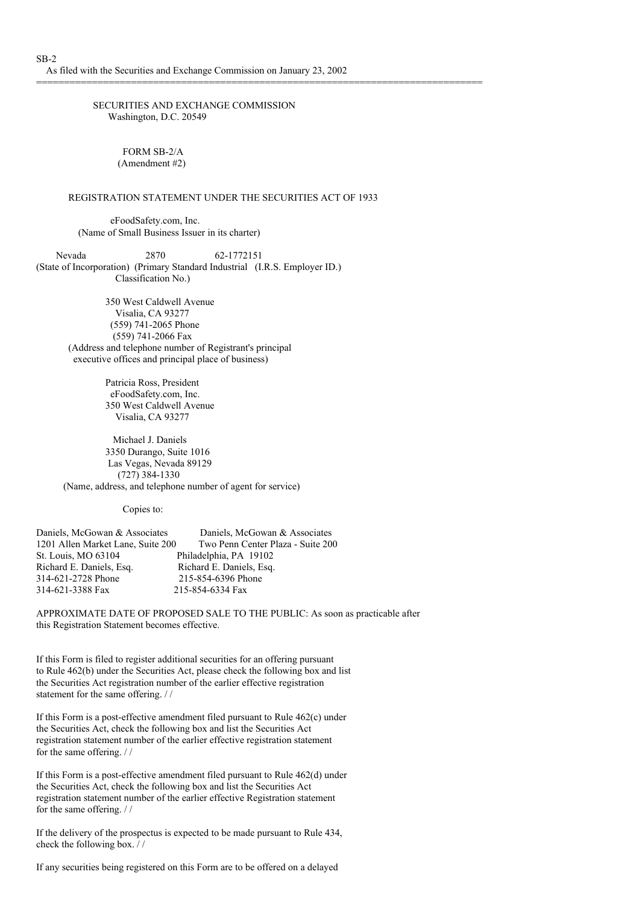### SECURITIES AND EXCHANGE COMMISSION Washington, D.C. 20549

FORM SB-2/A (Amendment #2)

## REGISTRATION STATEMENT UNDER THE SECURITIES ACT OF 1933

================================================================================

eFoodSafety.com, Inc. (Name of Small Business Issuer in its charter)

Nevada 2870 62-1772151 (State of Incorporation) (Primary Standard Industrial (I.R.S. Employer ID.) Classification No.)

> 350 West Caldwell Avenue Visalia, CA 93277 (559) 741-2065 Phone (559) 741-2066 Fax (Address and telephone number of Registrant's principal executive offices and principal place of business)

> > Patricia Ross, President eFoodSafety.com, Inc. 350 West Caldwell Avenue Visalia, CA 93277

Michael J. Daniels 3350 Durango, Suite 1016 Las Vegas, Nevada 89129 (727) 384-1330 (Name, address, and telephone number of agent for service)

Copies to:

| Daniels, McGowan & Associates                                          |
|------------------------------------------------------------------------|
| 1201 Allen Market Lane, Suite 200<br>Two Penn Center Plaza - Suite 200 |
| Philadelphia, PA 19102                                                 |
| Richard E. Daniels, Esq.                                               |
| 215-854-6396 Phone                                                     |
| 215-854-6334 Fax                                                       |
|                                                                        |

APPROXIMATE DATE OF PROPOSED SALE TO THE PUBLIC: As soon as practicable after this Registration Statement becomes effective.

If this Form is filed to register additional securities for an offering pursuant to Rule 462(b) under the Securities Act, please check the following box and list the Securities Act registration number of the earlier effective registration statement for the same offering. / /

If this Form is a post-effective amendment filed pursuant to Rule 462(c) under the Securities Act, check the following box and list the Securities Act registration statement number of the earlier effective registration statement for the same offering. / /

If this Form is a post-effective amendment filed pursuant to Rule 462(d) under the Securities Act, check the following box and list the Securities Act registration statement number of the earlier effective Registration statement for the same offering. / /

If the delivery of the prospectus is expected to be made pursuant to Rule 434, check the following box. / /

If any securities being registered on this Form are to be offered on a delayed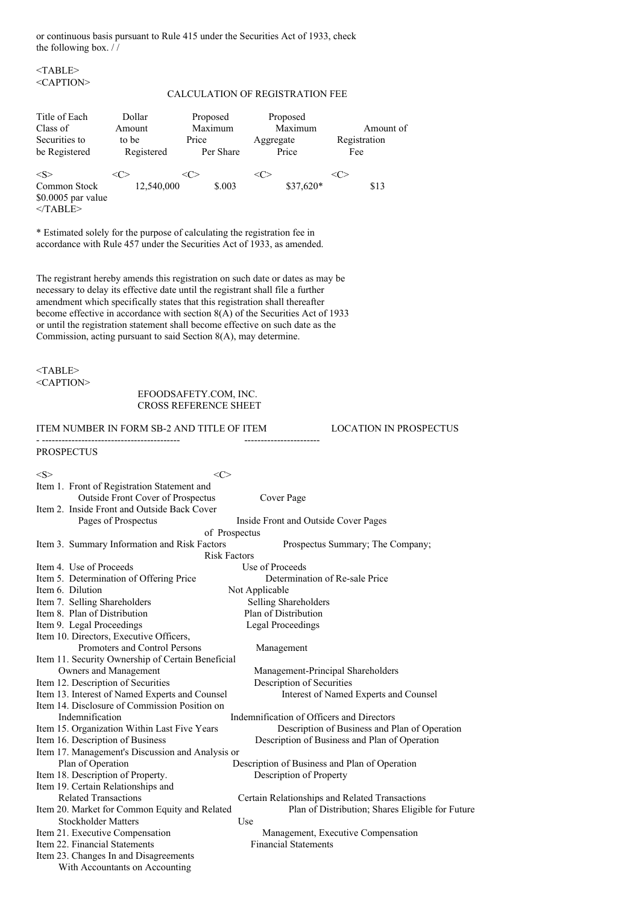or continuous basis pursuant to Rule 415 under the Securities Act of 1933, check the following box. / /

<TABLE> <CAPTION>

## CALCULATION OF REGISTRATION FEE

| Title of Each                       | Dollar     | Proposed  | Proposed   |              |  |
|-------------------------------------|------------|-----------|------------|--------------|--|
| Class of                            | Amount     | Maximum   | Maximum    | Amount of    |  |
| Securities to                       | to be      | Price     | Aggregate  | Registration |  |
| be Registered                       | Registered | Per Share | Price      | Fee          |  |
| $<\leq>$                            | < ⊖        | <∈        | <( )>      | <( >         |  |
| Common Stock<br>$$0.0005$ par value | 12,540,000 | \$.003    | $$37,620*$ | \$13         |  |
| $<$ TABLE>                          |            |           |            |              |  |

\* Estimated solely for the purpose of calculating the registration fee in accordance with Rule 457 under the Securities Act of 1933, as amended.

The registrant hereby amends this registration on such date or dates as may be necessary to delay its effective date until the registrant shall file a further amendment which specifically states that this registration shall thereafter become effective in accordance with section  $8(A)$  of the Securities Act of 1933 or until the registration statement shall become effective on such date as the Commission, acting pursuant to said Section 8(A), may determine.

<TABLE> <CAPTION>

## EFOODSAFETY.COM, INC. CROSS REFERENCE SHEET

# ITEM NUMBER IN FORM SB-2 AND TITLE OF ITEM LOCATION IN PROSPECTUS

- ------------------------------------------ ----------------------- PROSPECTUS

| <s><br/><math>&lt;\infty</math></s>                                                  |                                                                |
|--------------------------------------------------------------------------------------|----------------------------------------------------------------|
| Item 1. Front of Registration Statement and                                          |                                                                |
| Outside Front Cover of Prospectus                                                    | Cover Page                                                     |
| Item 2. Inside Front and Outside Back Cover                                          |                                                                |
| Pages of Prospectus                                                                  | Inside Front and Outside Cover Pages                           |
|                                                                                      | of Prospectus                                                  |
| Item 3. Summary Information and Risk Factors                                         | Prospectus Summary; The Company;                               |
| <b>Risk Factors</b>                                                                  |                                                                |
| Item 4. Use of Proceeds                                                              | Use of Proceeds                                                |
| Item 5. Determination of Offering Price                                              | Determination of Re-sale Price                                 |
| Item 6. Dilution                                                                     | Not Applicable                                                 |
| Item 7. Selling Shareholders                                                         | Selling Shareholders                                           |
| Item 8. Plan of Distribution                                                         | Plan of Distribution                                           |
| Item 9. Legal Proceedings                                                            | <b>Legal Proceedings</b>                                       |
| Item 10. Directors, Executive Officers,                                              |                                                                |
| Promoters and Control Persons                                                        |                                                                |
| Item 11. Security Ownership of Certain Beneficial                                    | Management                                                     |
|                                                                                      |                                                                |
| Owners and Management                                                                | Management-Principal Shareholders<br>Description of Securities |
| Item 12. Description of Securities<br>Item 13. Interest of Named Experts and Counsel | Interest of Named Experts and Counsel                          |
| Item 14. Disclosure of Commission Position on                                        |                                                                |
| Indemnification                                                                      | Indemnification of Officers and Directors                      |
|                                                                                      |                                                                |
| Item 15. Organization Within Last Five Years                                         | Description of Business and Plan of Operation                  |
| Item 16. Description of Business                                                     | Description of Business and Plan of Operation                  |
| Item 17. Management's Discussion and Analysis or                                     |                                                                |
| Plan of Operation                                                                    | Description of Business and Plan of Operation                  |
| Item 18. Description of Property.                                                    | Description of Property                                        |
| Item 19. Certain Relationships and                                                   |                                                                |
| <b>Related Transactions</b>                                                          | Certain Relationships and Related Transactions                 |
| Item 20. Market for Common Equity and Related                                        | Plan of Distribution; Shares Eligible for Future               |
| <b>Stockholder Matters</b>                                                           | Use                                                            |
| Item 21. Executive Compensation                                                      | Management, Executive Compensation                             |
| Item 22. Financial Statements                                                        | <b>Financial Statements</b>                                    |
| Item 23. Changes In and Disagreements                                                |                                                                |
| With Accountants on Accounting                                                       |                                                                |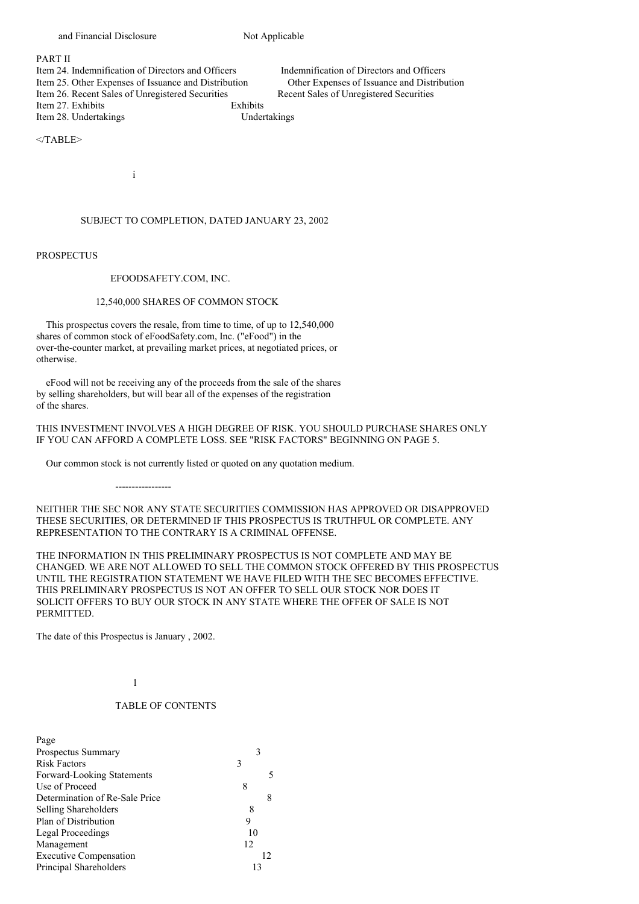## PART II

Item 24. Indemnification of Directors and Officers<br>Item 25. Other Expenses of Issuance and Distribution<br>Other Expenses of Issuance and Distribution Item 25. Other Expenses of Issuance and Distribution Item 26. Recent Sales of Unregistered Securities Recent Sales of Unregistered Securities Item 27. Exhibits Exhibits Item 28. Undertakings Undertakings

 $<$ /TABLE>

i

## SUBJECT TO COMPLETION, DATED JANUARY 23, 2002

#### PROSPECTUS

### EFOODSAFETY.COM, INC.

## 12,540,000 SHARES OF COMMON STOCK

This prospectus covers the resale, from time to time, of up to 12,540,000 shares of common stock of eFoodSafety.com, Inc. ("eFood") in the over-the-counter market, at prevailing market prices, at negotiated prices, or otherwise.

eFood will not be receiving any of the proceeds from the sale of the shares by selling shareholders, but will bear all of the expenses of the registration of the shares.

THIS INVESTMENT INVOLVES A HIGH DEGREE OF RISK. YOU SHOULD PURCHASE SHARES ONLY IF YOU CAN AFFORD A COMPLETE LOSS. SEE "RISK FACTORS" BEGINNING ON PAGE 5.

Our common stock is not currently listed or quoted on any quotation medium.

-----------------

NEITHER THE SEC NOR ANY STATE SECURITIES COMMISSION HAS APPROVED OR DISAPPROVED THESE SECURITIES, OR DETERMINED IF THIS PROSPECTUS IS TRUTHFUL OR COMPLETE. ANY REPRESENTATION TO THE CONTRARY IS A CRIMINAL OFFENSE.

THE INFORMATION IN THIS PRELIMINARY PROSPECTUS IS NOT COMPLETE AND MAY BE CHANGED. WE ARE NOT ALLOWED TO SELL THE COMMON STOCK OFFERED BY THIS PROSPECTUS UNTIL THE REGISTRATION STATEMENT WE HAVE FILED WITH THE SEC BECOMES EFFECTIVE. THIS PRELIMINARY PROSPECTUS IS NOT AN OFFER TO SELL OUR STOCK NOR DOES IT SOLICIT OFFERS TO BUY OUR STOCK IN ANY STATE WHERE THE OFFER OF SALE IS NOT PERMITTED.

The date of this Prospectus is January , 2002.

#### 1

## TABLE OF CONTENTS

| Page                           |    |
|--------------------------------|----|
| Prospectus Summary             | 3  |
| <b>Risk Factors</b>            | 3  |
| Forward-Looking Statements     |    |
| Use of Proceed                 | 8  |
| Determination of Re-Sale Price | 8  |
| Selling Shareholders           | 8  |
| Plan of Distribution           | 9  |
| Legal Proceedings              | 10 |
| Management                     | 12 |
| <b>Executive Compensation</b>  | 12 |
| Principal Shareholders         | 13 |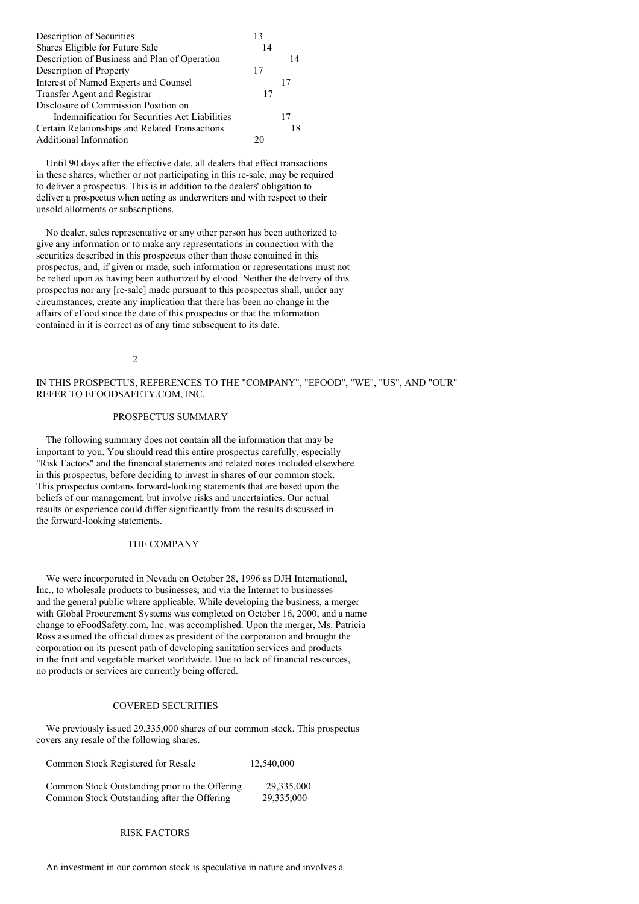| Description of Securities                      | 13 |    |
|------------------------------------------------|----|----|
| Shares Eligible for Future Sale                | 14 |    |
| Description of Business and Plan of Operation  |    | 14 |
| Description of Property                        | 17 |    |
| Interest of Named Experts and Counsel          |    | 17 |
| Transfer Agent and Registrar                   | 17 |    |
| Disclosure of Commission Position on           |    |    |
| Indemnification for Securities Act Liabilities |    | 17 |
| Certain Relationships and Related Transactions |    | 18 |
| <b>Additional Information</b>                  | 20 |    |
|                                                |    |    |

Until 90 days after the effective date, all dealers that effect transactions in these shares, whether or not participating in this re-sale, may be required to deliver a prospectus. This is in addition to the dealers' obligation to deliver a prospectus when acting as underwriters and with respect to their unsold allotments or subscriptions.

No dealer, sales representative or any other person has been authorized to give any information or to make any representations in connection with the securities described in this prospectus other than those contained in this prospectus, and, if given or made, such information or representations must not be relied upon as having been authorized by eFood. Neither the delivery of this prospectus nor any [re-sale] made pursuant to this prospectus shall, under any circumstances, create any implication that there has been no change in the affairs of eFood since the date of this prospectus or that the information contained in it is correct as of any time subsequent to its date.

2

# IN THIS PROSPECTUS, REFERENCES TO THE "COMPANY", "EFOOD", "WE", "US", AND "OUR" REFER TO EFOODSAFETY.COM, INC.

## PROSPECTUS SUMMARY

The following summary does not contain all the information that may be important to you. You should read this entire prospectus carefully, especially "Risk Factors" and the financial statements and related notes included elsewhere in this prospectus, before deciding to invest in shares of our common stock. This prospectus contains forward-looking statements that are based upon the beliefs of our management, but involve risks and uncertainties. Our actual results or experience could differ significantly from the results discussed in the forward-looking statements.

#### THE COMPANY

We were incorporated in Nevada on October 28, 1996 as DJH International, Inc., to wholesale products to businesses; and via the Internet to businesses and the general public where applicable. While developing the business, a merger with Global Procurement Systems was completed on October 16, 2000, and a name change to eFoodSafety.com, Inc. was accomplished. Upon the merger, Ms. Patricia Ross assumed the official duties as president of the corporation and brought the corporation on its present path of developing sanitation services and products in the fruit and vegetable market worldwide. Due to lack of financial resources, no products or services are currently being offered.

## COVERED SECURITIES

We previously issued 29,335,000 shares of our common stock. This prospectus covers any resale of the following shares.

| Common Stock Registered for Resale             | 12,540,000 |
|------------------------------------------------|------------|
| Common Stock Outstanding prior to the Offering | 29.335,000 |
| Common Stock Outstanding after the Offering    | 29,335,000 |

## RISK FACTORS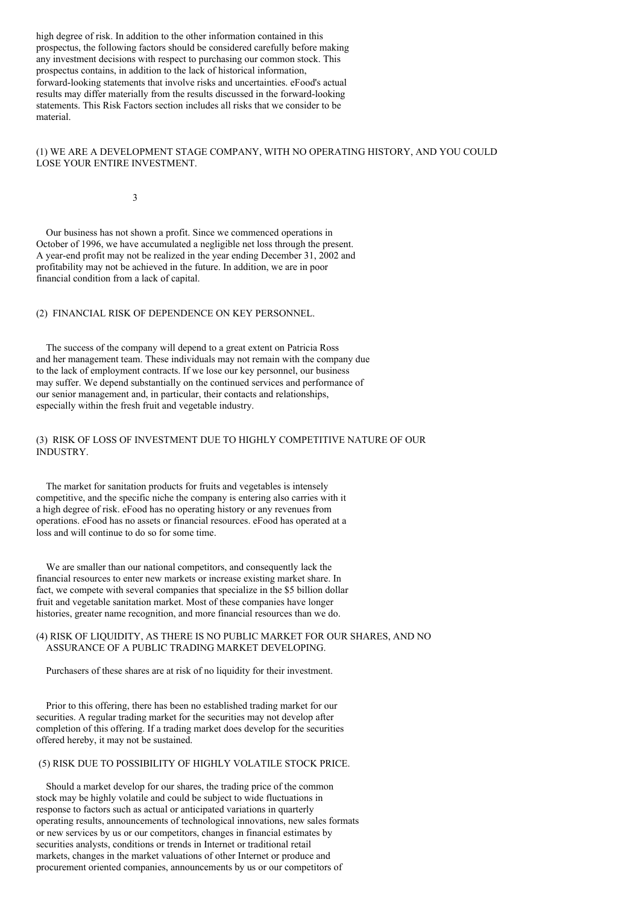high degree of risk. In addition to the other information contained in this prospectus, the following factors should be considered carefully before making any investment decisions with respect to purchasing our common stock. This prospectus contains, in addition to the lack of historical information, forward-looking statements that involve risks and uncertainties. eFood's actual results may differ materially from the results discussed in the forward-looking statements. This Risk Factors section includes all risks that we consider to be material.

## (1) WE ARE A DEVELOPMENT STAGE COMPANY, WITH NO OPERATING HISTORY, AND YOU COULD LOSE YOUR ENTIRE INVESTMENT.

3

Our business has not shown a profit. Since we commenced operations in October of 1996, we have accumulated a negligible net loss through the present. A year-end profit may not be realized in the year ending December 31, 2002 and profitability may not be achieved in the future. In addition, we are in poor financial condition from a lack of capital.

### (2) FINANCIAL RISK OF DEPENDENCE ON KEY PERSONNEL.

The success of the company will depend to a great extent on Patricia Ross and her management team. These individuals may not remain with the company due to the lack of employment contracts. If we lose our key personnel, our business may suffer. We depend substantially on the continued services and performance of our senior management and, in particular, their contacts and relationships, especially within the fresh fruit and vegetable industry.

## (3) RISK OF LOSS OF INVESTMENT DUE TO HIGHLY COMPETITIVE NATURE OF OUR INDUSTRY.

The market for sanitation products for fruits and vegetables is intensely competitive, and the specific niche the company is entering also carries with it a high degree of risk. eFood has no operating history or any revenues from operations. eFood has no assets or financial resources. eFood has operated at a loss and will continue to do so for some time.

We are smaller than our national competitors, and consequently lack the financial resources to enter new markets or increase existing market share. In fact, we compete with several companies that specialize in the \$5 billion dollar fruit and vegetable sanitation market. Most of these companies have longer histories, greater name recognition, and more financial resources than we do.

## (4) RISK OF LIQUIDITY, AS THERE IS NO PUBLIC MARKET FOR OUR SHARES, AND NO ASSURANCE OF A PUBLIC TRADING MARKET DEVELOPING.

Purchasers of these shares are at risk of no liquidity for their investment.

Prior to this offering, there has been no established trading market for our securities. A regular trading market for the securities may not develop after completion of this offering. If a trading market does develop for the securities offered hereby, it may not be sustained.

# (5) RISK DUE TO POSSIBILITY OF HIGHLY VOLATILE STOCK PRICE.

Should a market develop for our shares, the trading price of the common stock may be highly volatile and could be subject to wide fluctuations in response to factors such as actual or anticipated variations in quarterly operating results, announcements of technological innovations, new sales formats or new services by us or our competitors, changes in financial estimates by securities analysts, conditions or trends in Internet or traditional retail markets, changes in the market valuations of other Internet or produce and procurement oriented companies, announcements by us or our competitors of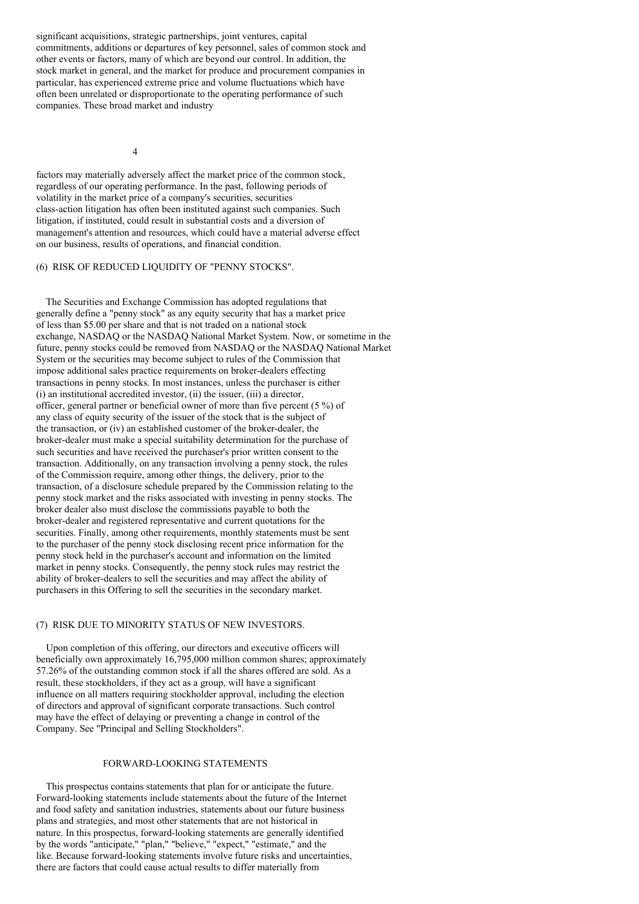significant acquisitions, strategic partnerships, joint ventures, capital commitments, additions or departures of key personnel, sales of common stock and other events or factors, many of which are beyond our control. In addition, the stock market in general, and the market for produce and procurement companies in particular, has experienced extreme price and volume fluctuations which have often been unrelated or disproportionate to the operating performance of such companies. These broad market and industry

4

factors may materially adversely affect the market price of the common stock, regardless of our operating performance. In the past, following periods of volatility in the market price of a company's securities, securities class-action litigation has often been instituted against such companies. Such litigation, if instituted, could result in substantial costs and a diversion of management's attention and resources, which could have a material adverse effect on our business, results of operations, and financial condition.

## (6) RISK OF REDUCED LIQUIDITY OF "PENNY STOCKS".

The Securities and Exchange Commission has adopted regulations that generally define a "penny stock" as any equity security that has a market price of less than \$5.00 per share and that is not traded on a national stock exchange, NASDAQ or the NASDAQ National Market System. Now, or sometime in the future, penny stocks could be removed from NASDAQ or the NASDAQ National Market System or the securities may become subject to rules of the Commission that impose additional sales practice requirements on broker-dealers effecting transactions in penny stocks. In most instances, unless the purchaser is either (i) an institutional accredited investor, (ii) the issuer, (iii) a director, officer, general partner or beneficial owner of more than five percent (5 %) of any class of equity security of the issuer of the stock that is the subject of the transaction, or (iv) an established customer of the broker-dealer, the broker-dealer must make a special suitability determination for the purchase of such securities and have received the purchaser's prior written consent to the transaction. Additionally, on any transaction involving a penny stock, the rules of the Commission require, among other things, the delivery, prior to the transaction, of a disclosure schedule prepared by the Commission relating to the penny stock market and the risks associated with investing in penny stocks. The broker dealer also must disclose the commissions payable to both the broker-dealer and registered representative and current quotations for the securities. Finally, among other requirements, monthly statements must be sent to the purchaser of the penny stock disclosing recent price information for the penny stock held in the purchaser's account and information on the limited market in penny stocks. Consequently, the penny stock rules may restrict the ability of broker-dealers to sell the securities and may affect the ability of purchasers in this Offering to sell the securities in the secondary market.

## (7) RISK DUE TO MINORITY STATUS OF NEW INVESTORS.

Upon completion of this offering, our directors and executive officers will beneficially own approximately 16,795,000 million common shares; approximately 57.26% of the outstanding common stock if all the shares offered are sold. As a result, these stockholders, if they act as a group, will have a significant influence on all matters requiring stockholder approval, including the election of directors and approval of significant corporate transactions. Such control may have the effect of delaying or preventing a change in control of the Company. See "Principal and Selling Stockholders".

## FORWARD-LOOKING STATEMENTS

This prospectus contains statements that plan for or anticipate the future. Forward-looking statements include statements about the future of the Internet and food safety and sanitation industries, statements about our future business plans and strategies, and most other statements that are not historical in nature. In this prospectus, forward-looking statements are generally identified by the words "anticipate," "plan," "believe," "expect," "estimate," and the like. Because forward-looking statements involve future risks and uncertainties, there are factors that could cause actual results to differ materially from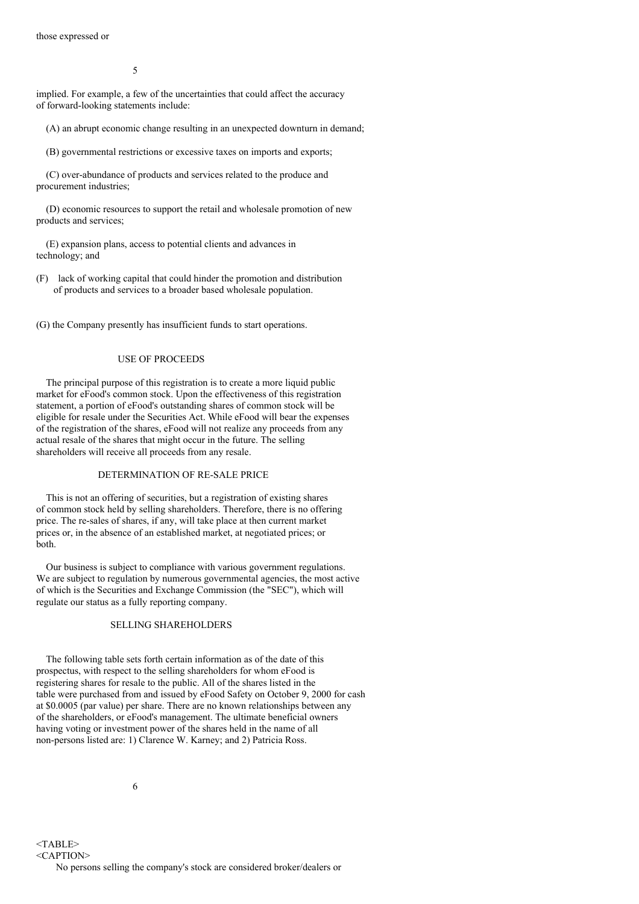5

implied. For example, a few of the uncertainties that could affect the accuracy of forward-looking statements include:

(A) an abrupt economic change resulting in an unexpected downturn in demand;

(B) governmental restrictions or excessive taxes on imports and exports;

(C) over-abundance of products and services related to the produce and procurement industries;

(D) economic resources to support the retail and wholesale promotion of new products and services;

(E) expansion plans, access to potential clients and advances in technology; and

(F) lack of working capital that could hinder the promotion and distribution of products and services to a broader based wholesale population.

(G) the Company presently has insufficient funds to start operations.

# USE OF PROCEEDS

The principal purpose of this registration is to create a more liquid public market for eFood's common stock. Upon the effectiveness of this registration statement, a portion of eFood's outstanding shares of common stock will be eligible for resale under the Securities Act. While eFood will bear the expenses of the registration of the shares, eFood will not realize any proceeds from any actual resale of the shares that might occur in the future. The selling shareholders will receive all proceeds from any resale.

# DETERMINATION OF RE-SALE PRICE

This is not an offering of securities, but a registration of existing shares of common stock held by selling shareholders. Therefore, there is no offering price. The re-sales of shares, if any, will take place at then current market prices or, in the absence of an established market, at negotiated prices; or both.

Our business is subject to compliance with various government regulations. We are subject to regulation by numerous governmental agencies, the most active of which is the Securities and Exchange Commission (the "SEC"), which will regulate our status as a fully reporting company.

# SELLING SHAREHOLDERS

The following table sets forth certain information as of the date of this prospectus, with respect to the selling shareholders for whom eFood is registering shares for resale to the public. All of the shares listed in the table were purchased from and issued by eFood Safety on October 9, 2000 for cash at \$0.0005 (par value) per share. There are no known relationships between any of the shareholders, or eFood's management. The ultimate beneficial owners having voting or investment power of the shares held in the name of all non-persons listed are: 1) Clarence W. Karney; and 2) Patricia Ross.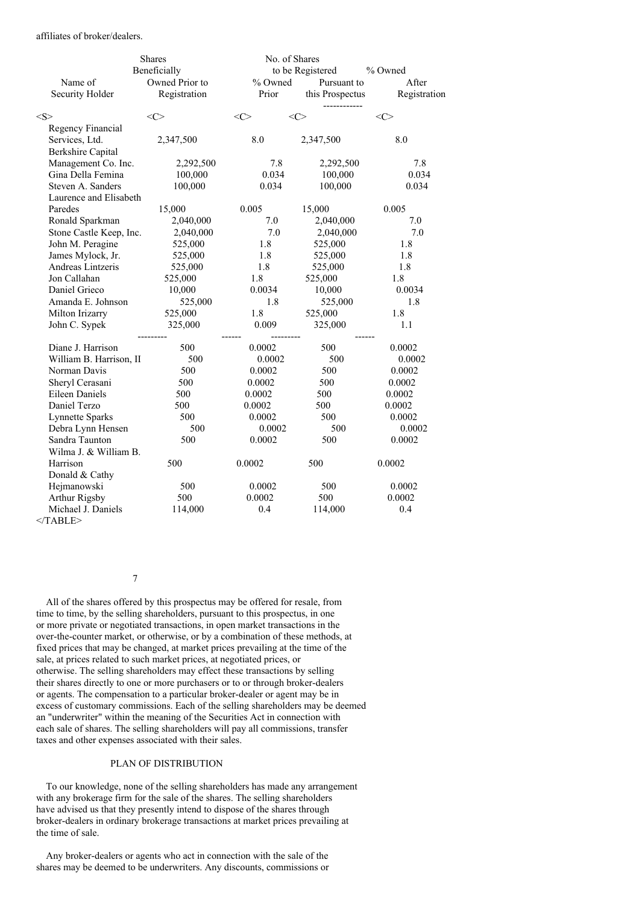|                          | <b>Shares</b><br>Beneficially |               | No. of Shares<br>to be Registered | % Owned      |
|--------------------------|-------------------------------|---------------|-----------------------------------|--------------|
| Name of                  | Owned Prior to                | % Owned       | Pursuant to                       | After        |
| Security Holder          | Registration                  | Prior         | this Prospectus                   | Registration |
|                          |                               |               |                                   |              |
| $<\!\!S\!\!>$            | $<\!\!C\!\!>$                 | $<\!\!C\!\!>$ | $<\!\!C\!\!>$                     | $<\infty$    |
| Regency Financial        |                               |               |                                   |              |
| Services, Ltd.           | 2,347,500                     | 8.0           | 2,347,500                         | 8.0          |
| <b>Berkshire Capital</b> |                               |               |                                   |              |
| Management Co. Inc.      | 2,292,500                     | 7.8           | 2,292,500                         | 7.8          |
| Gina Della Femina        | 100,000                       | 0.034         | 100,000                           | 0.034        |
| Steven A. Sanders        | 100,000                       | 0.034         | 100,000                           | 0.034        |
| Laurence and Elisabeth   |                               |               |                                   |              |
| Paredes                  | 15,000                        | 0.005         | 15,000                            | 0.005        |
| Ronald Sparkman          | 2,040,000                     | 7.0           | 2,040,000                         | 7.0          |
| Stone Castle Keep, Inc.  | 2,040,000                     | 7.0           | 2,040,000                         | 7.0          |
| John M. Peragine         | 525,000                       | 1.8           | 525,000                           | 1.8          |
| James Mylock, Jr.        | 525,000                       | 1.8           | 525,000                           | 1.8          |
| Andreas Lintzeris        | 525,000                       | 1.8           | 525,000                           | 1.8          |
| Jon Callahan             | 525,000                       | 1.8           | 525,000                           | 1.8          |
| Daniel Grieco            | 10,000                        | 0.0034        | 10,000                            | 0.0034       |
| Amanda E. Johnson        | 525,000                       | 1.8           | 525,000                           | 1.8          |
| Milton Irizarry          | 525,000                       | 1.8           | 525,000                           | 1.8          |
| John C. Sypek            | 325,000                       | 0.009         | 325,000                           | 1.1          |
|                          |                               |               |                                   |              |
| Diane J. Harrison        | 500                           | 0.0002        | 500                               | 0.0002       |
| William B. Harrison, II  | 500                           | 0.0002        | 500                               | 0.0002       |
| Norman Davis             | 500                           | 0.0002        | 500                               | 0.0002       |
| Sheryl Cerasani          | 500                           | 0.0002        | 500                               | 0.0002       |
| <b>Eileen Daniels</b>    | 500                           | 0.0002        | 500                               | 0.0002       |
| Daniel Terzo             | 500                           | 0.0002        | 500                               | 0.0002       |
| Lynnette Sparks          | 500                           | 0.0002        | 500                               | 0.0002       |
| Debra Lynn Hensen        | 500                           | 0.0002        | 500                               | 0.0002       |
| Sandra Taunton           | 500                           | 0.0002        | 500                               | 0.0002       |
| Wilma J. & William B.    |                               |               |                                   |              |
| Harrison                 | 500                           | 0.0002        | 500                               | 0.0002       |
| Donald & Cathy           |                               |               |                                   |              |
| Hejmanowski              | 500                           | 0.0002        | 500                               | 0.0002       |
| Arthur Rigsby            | 500                           | 0.0002        | 500                               | 0.0002       |
| Michael J. Daniels       | 114,000                       | 0.4           | 114,000                           | 0.4          |
| $<$ /TABLE>              |                               |               |                                   |              |

7

All of the shares offered by this prospectus may be offered for resale, from time to time, by the selling shareholders, pursuant to this prospectus, in one or more private or negotiated transactions, in open market transactions in the over-the-counter market, or otherwise, or by a combination of these methods, at fixed prices that may be changed, at market prices prevailing at the time of the sale, at prices related to such market prices, at negotiated prices, or otherwise. The selling shareholders may effect these transactions by selling their shares directly to one or more purchasers or to or through broker-dealers or agents. The compensation to a particular broker-dealer or agent may be in excess of customary commissions. Each of the selling shareholders may be deemed an "underwriter" within the meaning of the Securities Act in connection with each sale of shares. The selling shareholders will pay all commissions, transfer taxes and other expenses associated with their sales.

### PLAN OF DISTRIBUTION

To our knowledge, none of the selling shareholders has made any arrangement with any brokerage firm for the sale of the shares. The selling shareholders have advised us that they presently intend to dispose of the shares through broker-dealers in ordinary brokerage transactions at market prices prevailing at the time of sale.

Any broker-dealers or agents who act in connection with the sale of the shares may be deemed to be underwriters. Any discounts, commissions or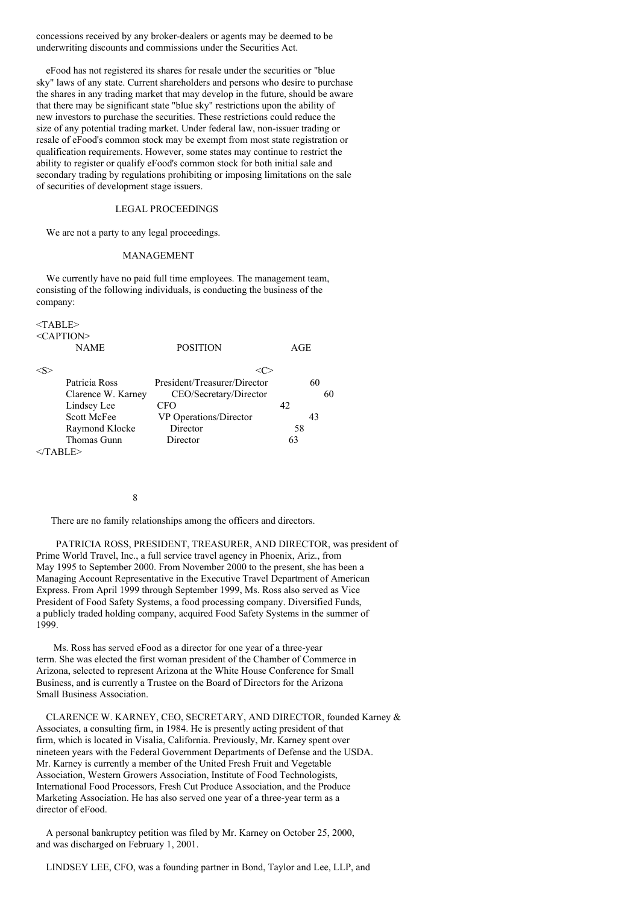concessions received by any broker-dealers or agents may be deemed to be underwriting discounts and commissions under the Securities Act.

eFood has not registered its shares for resale under the securities or "blue sky" laws of any state. Current shareholders and persons who desire to purchase the shares in any trading market that may develop in the future, should be aware that there may be significant state "blue sky" restrictions upon the ability of new investors to purchase the securities. These restrictions could reduce the size of any potential trading market. Under federal law, non-issuer trading or resale of eFood's common stock may be exempt from most state registration or qualification requirements. However, some states may continue to restrict the ability to register or qualify eFood's common stock for both initial sale and secondary trading by regulations prohibiting or imposing limitations on the sale of securities of development stage issuers.

#### LEGAL PROCEEDINGS

We are not a party to any legal proceedings.

#### MANAGEMENT

We currently have no paid full time employees. The management team, consisting of the following individuals, is conducting the business of the company:

<TABLE>  $\epsilon C$  a deficing

| NGAP HUNZ          |                              |     |    |
|--------------------|------------------------------|-----|----|
| <b>NAME</b>        | <b>POSITION</b>              | AGE |    |
|                    |                              |     |    |
|                    |                              |     |    |
| Patricia Ross      | President/Treasurer/Director | 60  |    |
| Clarence W. Karney | CEO/Secretary/Director       |     | 60 |
| Lindsey Lee        | CFO                          | 42  |    |
| Scott McFee        | VP Operations/Director       | 43  |    |
| Raymond Klocke     | Director                     | 58  |    |
| Thomas Gunn        | Director                     | 63  |    |
| LE>                |                              |     |    |

#### 8

There are no family relationships among the officers and directors.

PATRICIA ROSS, PRESIDENT, TREASURER, AND DIRECTOR, was president of Prime World Travel, Inc., a full service travel agency in Phoenix, Ariz., from May 1995 to September 2000. From November 2000 to the present, she has been a Managing Account Representative in the Executive Travel Department of American Express. From April 1999 through September 1999, Ms. Ross also served as Vice President of Food Safety Systems, a food processing company. Diversified Funds, a publicly traded holding company, acquired Food Safety Systems in the summer of 1999.

Ms. Ross has served eFood as a director for one year of a three-year term. She was elected the first woman president of the Chamber of Commerce in Arizona, selected to represent Arizona at the White House Conference for Small Business, and is currently a Trustee on the Board of Directors for the Arizona Small Business Association.

CLARENCE W. KARNEY, CEO, SECRETARY, AND DIRECTOR, founded Karney & Associates, a consulting firm, in 1984. He is presently acting president of that firm, which is located in Visalia, California. Previously, Mr. Karney spent over nineteen years with the Federal Government Departments of Defense and the USDA. Mr. Karney is currently a member of the United Fresh Fruit and Vegetable Association, Western Growers Association, Institute of Food Technologists, International Food Processors, Fresh Cut Produce Association, and the Produce Marketing Association. He has also served one year of a three-year term as a director of eFood.

A personal bankruptcy petition was filed by Mr. Karney on October 25, 2000, and was discharged on February 1, 2001.

LINDSEY LEE, CFO, was a founding partner in Bond, Taylor and Lee, LLP, and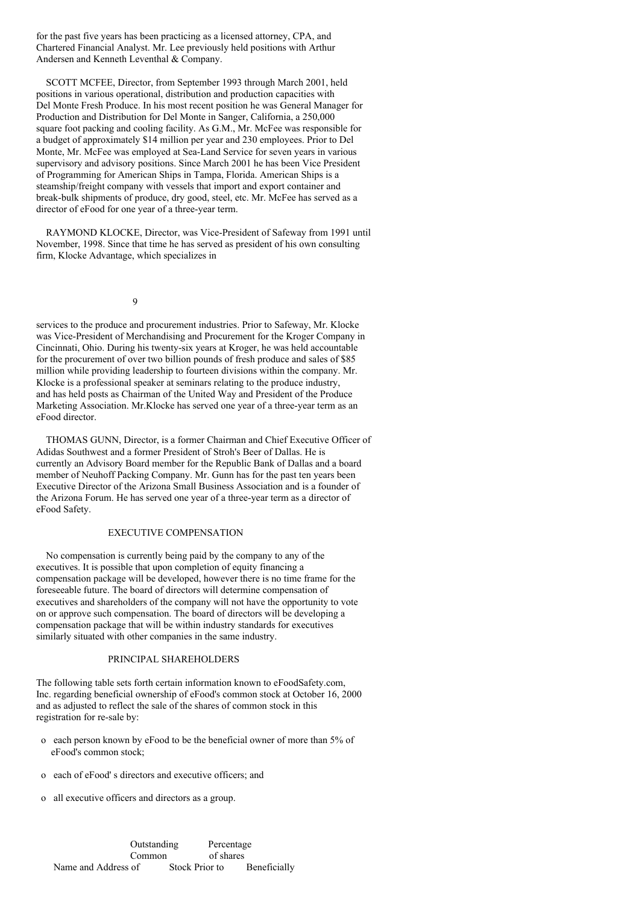for the past five years has been practicing as a licensed attorney, CPA, and Chartered Financial Analyst. Mr. Lee previously held positions with Arthur Andersen and Kenneth Leventhal & Company.

SCOTT MCFEE, Director, from September 1993 through March 2001, held positions in various operational, distribution and production capacities with Del Monte Fresh Produce. In his most recent position he was General Manager for Production and Distribution for Del Monte in Sanger, California, a 250,000 square foot packing and cooling facility. As G.M., Mr. McFee was responsible for a budget of approximately \$14 million per year and 230 employees. Prior to Del Monte, Mr. McFee was employed at Sea-Land Service for seven years in various supervisory and advisory positions. Since March 2001 he has been Vice President of Programming for American Ships in Tampa, Florida. American Ships is a steamship/freight company with vessels that import and export container and break-bulk shipments of produce, dry good, steel, etc. Mr. McFee has served as a director of eFood for one year of a three-year term.

RAYMOND KLOCKE, Director, was Vice-President of Safeway from 1991 until November, 1998. Since that time he has served as president of his own consulting firm, Klocke Advantage, which specializes in

9

services to the produce and procurement industries. Prior to Safeway, Mr. Klocke was Vice-President of Merchandising and Procurement for the Kroger Company in Cincinnati, Ohio. During his twenty-six years at Kroger, he was held accountable for the procurement of over two billion pounds of fresh produce and sales of \$85 million while providing leadership to fourteen divisions within the company. Mr. Klocke is a professional speaker at seminars relating to the produce industry, and has held posts as Chairman of the United Way and President of the Produce Marketing Association. Mr.Klocke has served one year of a three-year term as an eFood director.

THOMAS GUNN, Director, is a former Chairman and Chief Executive Officer of Adidas Southwest and a former President of Stroh's Beer of Dallas. He is currently an Advisory Board member for the Republic Bank of Dallas and a board member of Neuhoff Packing Company. Mr. Gunn has for the past ten years been Executive Director of the Arizona Small Business Association and is a founder of the Arizona Forum. He has served one year of a three-year term as a director of eFood Safety.

#### EXECUTIVE COMPENSATION

No compensation is currently being paid by the company to any of the executives. It is possible that upon completion of equity financing a compensation package will be developed, however there is no time frame for the foreseeable future. The board of directors will determine compensation of executives and shareholders of the company will not have the opportunity to vote on or approve such compensation. The board of directors will be developing a compensation package that will be within industry standards for executives similarly situated with other companies in the same industry.

#### PRINCIPAL SHAREHOLDERS

The following table sets forth certain information known to eFoodSafety.com, Inc. regarding beneficial ownership of eFood's common stock at October 16, 2000 and as adjusted to reflect the sale of the shares of common stock in this registration for re-sale by:

- o each person known by eFood to be the beneficial owner of more than 5% of eFood's common stock;
- o each of eFood' s directors and executive officers; and
- o all executive officers and directors as a group.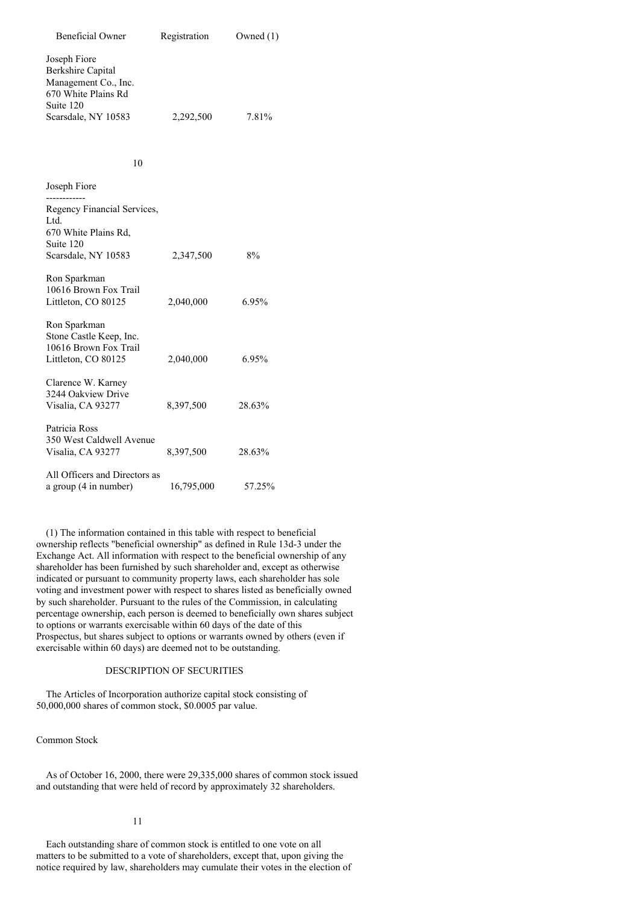| <b>Beneficial Owner</b>                                                                                                     | Registration | Owned $(1)$ |
|-----------------------------------------------------------------------------------------------------------------------------|--------------|-------------|
| Joseph Fiore<br><b>Berkshire Capital</b><br>Management Co., Inc.<br>670 White Plains Rd<br>Suite 120<br>Scarsdale, NY 10583 | 2,292,500    | 7.81%       |
| 10                                                                                                                          |              |             |
| Joseph Fiore                                                                                                                |              |             |
| Regency Financial Services,<br>Ltd.<br>670 White Plains Rd,<br>Suite 120<br>Scarsdale, NY 10583                             | 2,347,500    | 8%          |
| Ron Sparkman<br>10616 Brown Fox Trail<br>Littleton, CO 80125                                                                | 2,040,000    | 6.95%       |
| Ron Sparkman<br>Stone Castle Keep, Inc.<br>10616 Brown Fox Trail<br>Littleton, CO 80125                                     | 2,040,000    | 6.95%       |
| Clarence W. Karney<br>3244 Oakview Drive<br>Visalia, CA 93277                                                               | 8,397,500    | 28.63%      |
| Patricia Ross<br>350 West Caldwell Avenue<br>Visalia, CA 93277                                                              | 8,397,500    | 28.63%      |
| All Officers and Directors as<br>a group (4 in number)                                                                      | 16,795,000   | 57.25%      |

(1) The information contained in this table with respect to beneficial ownership reflects "beneficial ownership" as defined in Rule 13d-3 under the Exchange Act. All information with respect to the beneficial ownership of any shareholder has been furnished by such shareholder and, except as otherwise indicated or pursuant to community property laws, each shareholder has sole voting and investment power with respect to shares listed as beneficially owned by such shareholder. Pursuant to the rules of the Commission, in calculating percentage ownership, each person is deemed to beneficially own shares subject to options or warrants exercisable within 60 days of the date of this Prospectus, but shares subject to options or warrants owned by others (even if exercisable within 60 days) are deemed not to be outstanding.

## DESCRIPTION OF SECURITIES

The Articles of Incorporation authorize capital stock consisting of 50,000,000 shares of common stock, \$0.0005 par value.

## Common Stock

As of October 16, 2000, there were 29,335,000 shares of common stock issued and outstanding that were held of record by approximately 32 shareholders.

## 11

Each outstanding share of common stock is entitled to one vote on all matters to be submitted to a vote of shareholders, except that, upon giving the notice required by law, shareholders may cumulate their votes in the election of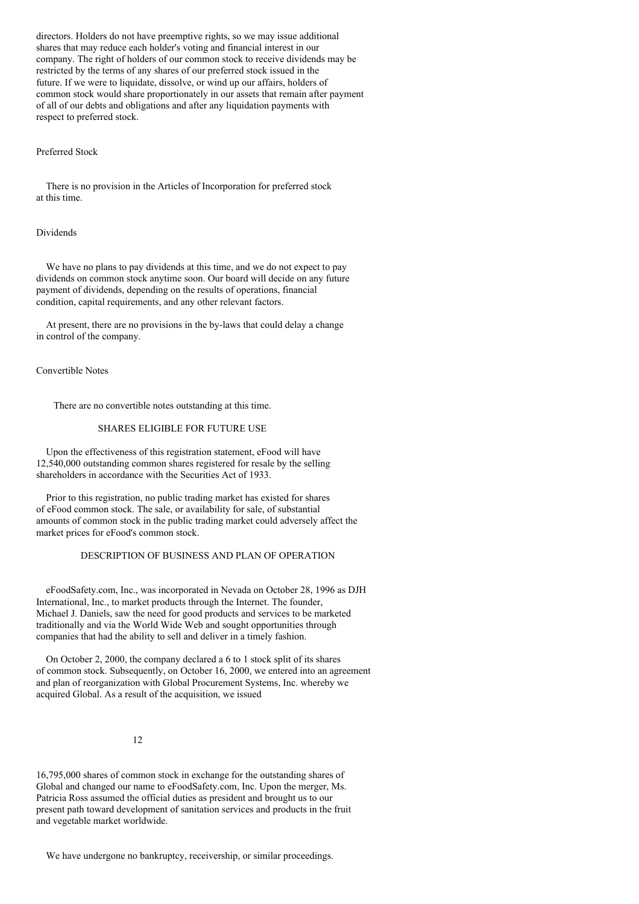directors. Holders do not have preemptive rights, so we may issue additional shares that may reduce each holder's voting and financial interest in our company. The right of holders of our common stock to receive dividends may be restricted by the terms of any shares of our preferred stock issued in the future. If we were to liquidate, dissolve, or wind up our affairs, holders of common stock would share proportionately in our assets that remain after payment of all of our debts and obligations and after any liquidation payments with respect to preferred stock.

## Preferred Stock

There is no provision in the Articles of Incorporation for preferred stock at this time.

#### Dividends

We have no plans to pay dividends at this time, and we do not expect to pay dividends on common stock anytime soon. Our board will decide on any future payment of dividends, depending on the results of operations, financial condition, capital requirements, and any other relevant factors.

At present, there are no provisions in the by-laws that could delay a change in control of the company.

Convertible Notes

There are no convertible notes outstanding at this time.

## SHARES ELIGIBLE FOR FUTURE USE

Upon the effectiveness of this registration statement, eFood will have 12,540,000 outstanding common shares registered for resale by the selling shareholders in accordance with the Securities Act of 1933.

Prior to this registration, no public trading market has existed for shares of eFood common stock. The sale, or availability for sale, of substantial amounts of common stock in the public trading market could adversely affect the market prices for eFood's common stock.

## DESCRIPTION OF BUSINESS AND PLAN OF OPERATION

eFoodSafety.com, Inc., was incorporated in Nevada on October 28, 1996 as DJH International, Inc., to market products through the Internet. The founder, Michael J. Daniels, saw the need for good products and services to be marketed traditionally and via the World Wide Web and sought opportunities through companies that had the ability to sell and deliver in a timely fashion.

On October 2, 2000, the company declared a 6 to 1 stock split of its shares of common stock. Subsequently, on October 16, 2000, we entered into an agreement and plan of reorganization with Global Procurement Systems, Inc. whereby we acquired Global. As a result of the acquisition, we issued

12

16,795,000 shares of common stock in exchange for the outstanding shares of Global and changed our name to eFoodSafety.com, Inc. Upon the merger, Ms. Patricia Ross assumed the official duties as president and brought us to our present path toward development of sanitation services and products in the fruit and vegetable market worldwide.

We have undergone no bankruptcy, receivership, or similar proceedings.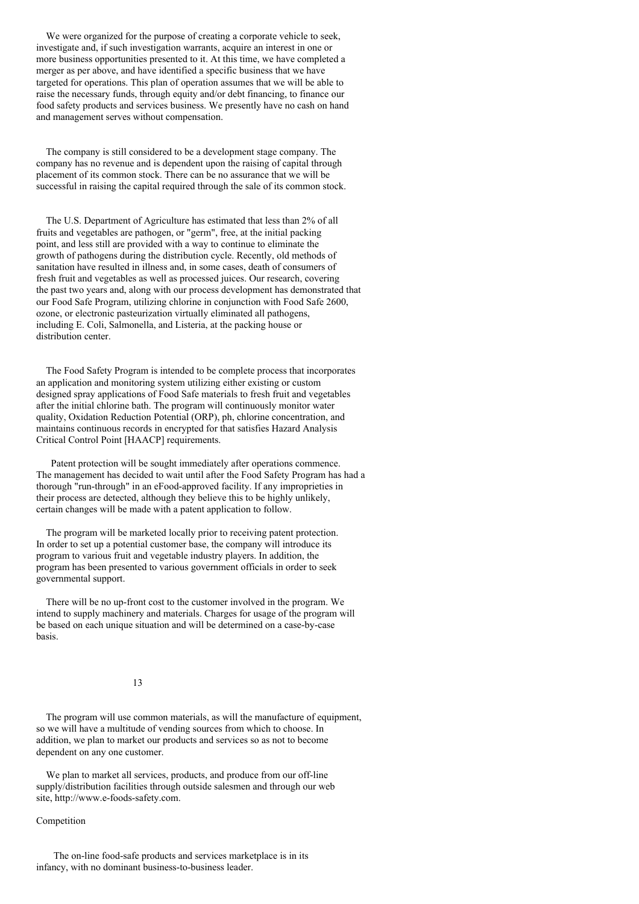We were organized for the purpose of creating a corporate vehicle to seek, investigate and, if such investigation warrants, acquire an interest in one or more business opportunities presented to it. At this time, we have completed a merger as per above, and have identified a specific business that we have targeted for operations. This plan of operation assumes that we will be able to raise the necessary funds, through equity and/or debt financing, to finance our food safety products and services business. We presently have no cash on hand and management serves without compensation.

The company is still considered to be a development stage company. The company has no revenue and is dependent upon the raising of capital through placement of its common stock. There can be no assurance that we will be successful in raising the capital required through the sale of its common stock.

The U.S. Department of Agriculture has estimated that less than 2% of all fruits and vegetables are pathogen, or "germ", free, at the initial packing point, and less still are provided with a way to continue to eliminate the growth of pathogens during the distribution cycle. Recently, old methods of sanitation have resulted in illness and, in some cases, death of consumers of fresh fruit and vegetables as well as processed juices. Our research, covering the past two years and, along with our process development has demonstrated that our Food Safe Program, utilizing chlorine in conjunction with Food Safe 2600, ozone, or electronic pasteurization virtually eliminated all pathogens, including E. Coli, Salmonella, and Listeria, at the packing house or distribution center.

The Food Safety Program is intended to be complete process that incorporates an application and monitoring system utilizing either existing or custom designed spray applications of Food Safe materials to fresh fruit and vegetables after the initial chlorine bath. The program will continuously monitor water quality, Oxidation Reduction Potential (ORP), ph, chlorine concentration, and maintains continuous records in encrypted for that satisfies Hazard Analysis Critical Control Point [HAACP] requirements.

Patent protection will be sought immediately after operations commence. The management has decided to wait until after the Food Safety Program has had a thorough "run-through" in an eFood-approved facility. If any improprieties in their process are detected, although they believe this to be highly unlikely, certain changes will be made with a patent application to follow.

The program will be marketed locally prior to receiving patent protection. In order to set up a potential customer base, the company will introduce its program to various fruit and vegetable industry players. In addition, the program has been presented to various government officials in order to seek governmental support.

There will be no up-front cost to the customer involved in the program. We intend to supply machinery and materials. Charges for usage of the program will be based on each unique situation and will be determined on a case-by-case basis.

#### 13

The program will use common materials, as will the manufacture of equipment, so we will have a multitude of vending sources from which to choose. In addition, we plan to market our products and services so as not to become dependent on any one customer.

We plan to market all services, products, and produce from our off-line supply/distribution facilities through outside salesmen and through our web site, http://www.e-foods-safety.com.

#### Competition

The on-line food-safe products and services marketplace is in its infancy, with no dominant business-to-business leader.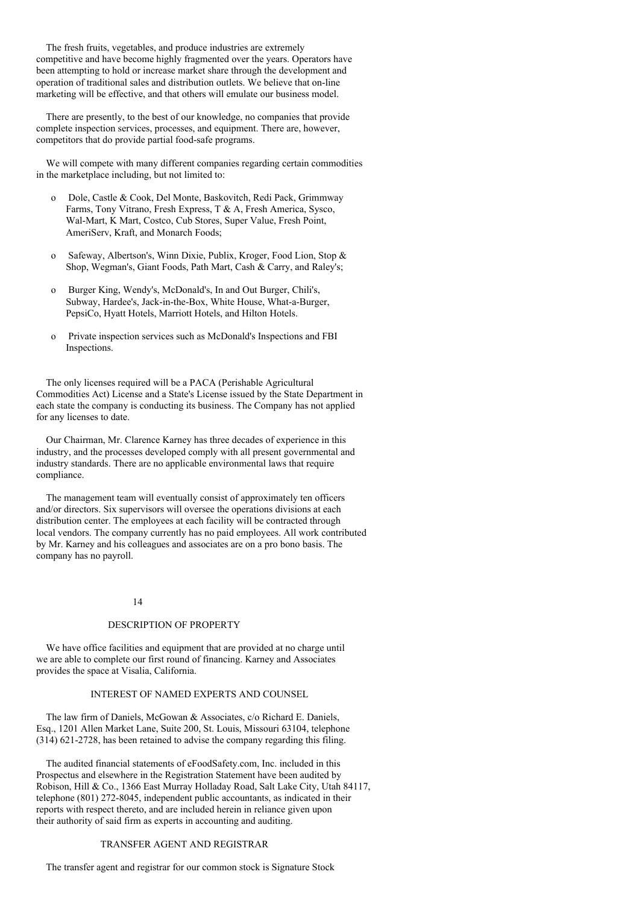The fresh fruits, vegetables, and produce industries are extremely competitive and have become highly fragmented over the years. Operators have been attempting to hold or increase market share through the development and operation of traditional sales and distribution outlets. We believe that on-line marketing will be effective, and that others will emulate our business model.

There are presently, to the best of our knowledge, no companies that provide complete inspection services, processes, and equipment. There are, however, competitors that do provide partial food-safe programs.

We will compete with many different companies regarding certain commodities in the marketplace including, but not limited to:

- o Dole, Castle & Cook, Del Monte, Baskovitch, Redi Pack, Grimmway Farms, Tony Vitrano, Fresh Express, T & A, Fresh America, Sysco, Wal-Mart, K Mart, Costco, Cub Stores, Super Value, Fresh Point, AmeriServ, Kraft, and Monarch Foods;
- o Safeway, Albertson's, Winn Dixie, Publix, Kroger, Food Lion, Stop & Shop, Wegman's, Giant Foods, Path Mart, Cash & Carry, and Raley's;
- o Burger King, Wendy's, McDonald's, In and Out Burger, Chili's, Subway, Hardee's, Jack-in-the-Box, White House, What-a-Burger, PepsiCo, Hyatt Hotels, Marriott Hotels, and Hilton Hotels.
- o Private inspection services such as McDonald's Inspections and FBI Inspections.

The only licenses required will be a PACA (Perishable Agricultural Commodities Act) License and a State's License issued by the State Department in each state the company is conducting its business. The Company has not applied for any licenses to date.

Our Chairman, Mr. Clarence Karney has three decades of experience in this industry, and the processes developed comply with all present governmental and industry standards. There are no applicable environmental laws that require compliance.

The management team will eventually consist of approximately ten officers and/or directors. Six supervisors will oversee the operations divisions at each distribution center. The employees at each facility will be contracted through local vendors. The company currently has no paid employees. All work contributed by Mr. Karney and his colleagues and associates are on a pro bono basis. The company has no payroll.

#### 14

#### DESCRIPTION OF PROPERTY

We have office facilities and equipment that are provided at no charge until we are able to complete our first round of financing. Karney and Associates provides the space at Visalia, California.

#### INTEREST OF NAMED EXPERTS AND COUNSEL

The law firm of Daniels, McGowan & Associates, c/o Richard E. Daniels, Esq., 1201 Allen Market Lane, Suite 200, St. Louis, Missouri 63104, telephone (314) 621-2728, has been retained to advise the company regarding this filing.

The audited financial statements of eFoodSafety.com, Inc. included in this Prospectus and elsewhere in the Registration Statement have been audited by Robison, Hill & Co., 1366 East Murray Holladay Road, Salt Lake City, Utah 84117, telephone (801) 272-8045, independent public accountants, as indicated in their reports with respect thereto, and are included herein in reliance given upon their authority of said firm as experts in accounting and auditing.

## TRANSFER AGENT AND REGISTRAR

The transfer agent and registrar for our common stock is Signature Stock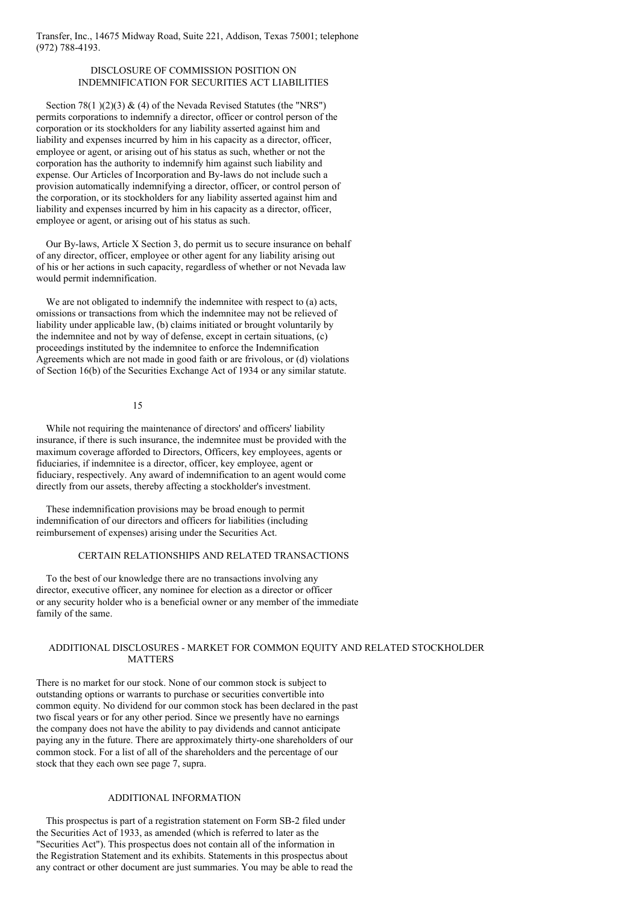Transfer, Inc., 14675 Midway Road, Suite 221, Addison, Texas 75001; telephone (972) 788-4193.

## DISCLOSURE OF COMMISSION POSITION ON INDEMNIFICATION FOR SECURITIES ACT LIABILITIES

Section 78(1)(2)(3)  $\&$  (4) of the Nevada Revised Statutes (the "NRS") permits corporations to indemnify a director, officer or control person of the corporation or its stockholders for any liability asserted against him and liability and expenses incurred by him in his capacity as a director, officer, employee or agent, or arising out of his status as such, whether or not the corporation has the authority to indemnify him against such liability and expense. Our Articles of Incorporation and By-laws do not include such a provision automatically indemnifying a director, officer, or control person of the corporation, or its stockholders for any liability asserted against him and liability and expenses incurred by him in his capacity as a director, officer, employee or agent, or arising out of his status as such.

Our By-laws, Article X Section 3, do permit us to secure insurance on behalf of any director, officer, employee or other agent for any liability arising out of his or her actions in such capacity, regardless of whether or not Nevada law would permit indemnification.

We are not obligated to indemnify the indemnitee with respect to (a) acts, omissions or transactions from which the indemnitee may not be relieved of liability under applicable law, (b) claims initiated or brought voluntarily by the indemnitee and not by way of defense, except in certain situations, (c) proceedings instituted by the indemnitee to enforce the Indemnification Agreements which are not made in good faith or are frivolous, or (d) violations of Section 16(b) of the Securities Exchange Act of 1934 or any similar statute.

## 15

While not requiring the maintenance of directors' and officers' liability insurance, if there is such insurance, the indemnitee must be provided with the maximum coverage afforded to Directors, Officers, key employees, agents or fiduciaries, if indemnitee is a director, officer, key employee, agent or fiduciary, respectively. Any award of indemnification to an agent would come directly from our assets, thereby affecting a stockholder's investment.

These indemnification provisions may be broad enough to permit indemnification of our directors and officers for liabilities (including reimbursement of expenses) arising under the Securities Act.

## CERTAIN RELATIONSHIPS AND RELATED TRANSACTIONS

To the best of our knowledge there are no transactions involving any director, executive officer, any nominee for election as a director or officer or any security holder who is a beneficial owner or any member of the immediate family of the same.

## ADDITIONAL DISCLOSURES - MARKET FOR COMMON EQUITY AND RELATED STOCKHOLDER MATTERS

There is no market for our stock. None of our common stock is subject to outstanding options or warrants to purchase or securities convertible into common equity. No dividend for our common stock has been declared in the past two fiscal years or for any other period. Since we presently have no earnings the company does not have the ability to pay dividends and cannot anticipate paying any in the future. There are approximately thirty-one shareholders of our common stock. For a list of all of the shareholders and the percentage of our stock that they each own see page 7, supra.

#### ADDITIONAL INFORMATION

This prospectus is part of a registration statement on Form SB-2 filed under the Securities Act of 1933, as amended (which is referred to later as the "Securities Act"). This prospectus does not contain all of the information in the Registration Statement and its exhibits. Statements in this prospectus about any contract or other document are just summaries. You may be able to read the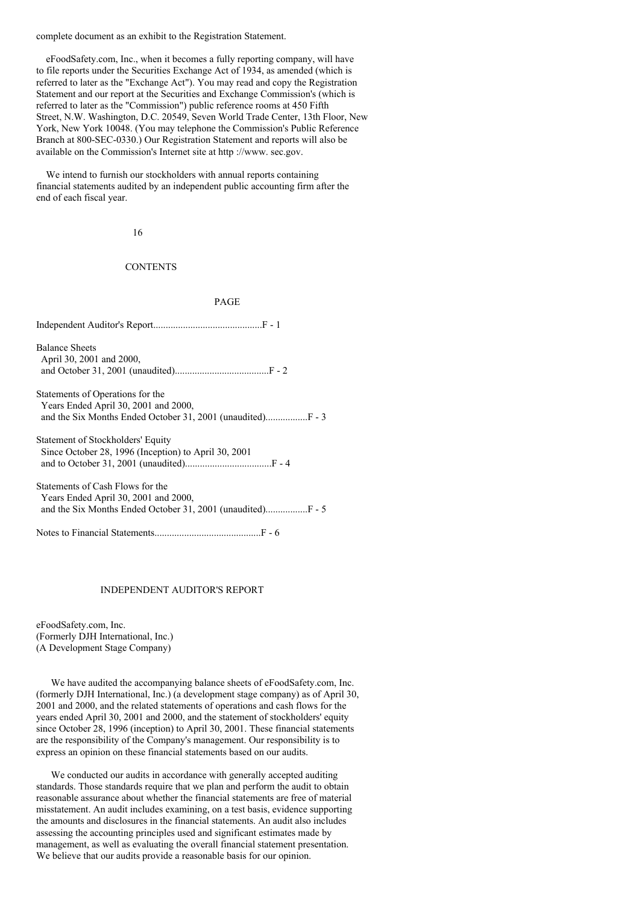complete document as an exhibit to the Registration Statement.

eFoodSafety.com, Inc., when it becomes a fully reporting company, will have to file reports under the Securities Exchange Act of 1934, as amended (which is referred to later as the "Exchange Act"). You may read and copy the Registration Statement and our report at the Securities and Exchange Commission's (which is referred to later as the "Commission") public reference rooms at 450 Fifth Street, N.W. Washington, D.C. 20549, Seven World Trade Center, 13th Floor, New York, New York 10048. (You may telephone the Commission's Public Reference Branch at 800-SEC-0330.) Our Registration Statement and reports will also be available on the Commission's Internet site at http ://www. sec.gov.

We intend to furnish our stockholders with annual reports containing financial statements audited by an independent public accounting firm after the end of each fiscal year.

16

### **CONTENTS**

## PAGE

Independent Auditor's Report............................................F - 1

Balance Sheets April 30, 2001 and 2000, and October 31, 2001 (unaudited)......................................F - 2

- Statements of Operations for the Years Ended April 30, 2001 and 2000, and the Six Months Ended October 31, 2001 (unaudited).................F - 3
- Statement of Stockholders' Equity Since October 28, 1996 (Inception) to April 30, 2001 and to October 31, 2001 (unaudited)...................................F - 4
- Statements of Cash Flows for the Years Ended April 30, 2001 and 2000, and the Six Months Ended October 31, 2001 (unaudited).................F - 5

Notes to Financial Statements...........................................F - 6

#### INDEPENDENT AUDITOR'S REPORT

eFoodSafety.com, Inc. (Formerly DJH International, Inc.) (A Development Stage Company)

We have audited the accompanying balance sheets of eFoodSafety.com, Inc. (formerly DJH International, Inc.) (a development stage company) as of April 30, 2001 and 2000, and the related statements of operations and cash flows for the years ended April 30, 2001 and 2000, and the statement of stockholders' equity since October 28, 1996 (inception) to April 30, 2001. These financial statements are the responsibility of the Company's management. Our responsibility is to express an opinion on these financial statements based on our audits.

We conducted our audits in accordance with generally accepted auditing standards. Those standards require that we plan and perform the audit to obtain reasonable assurance about whether the financial statements are free of material misstatement. An audit includes examining, on a test basis, evidence supporting the amounts and disclosures in the financial statements. An audit also includes assessing the accounting principles used and significant estimates made by management, as well as evaluating the overall financial statement presentation. We believe that our audits provide a reasonable basis for our opinion.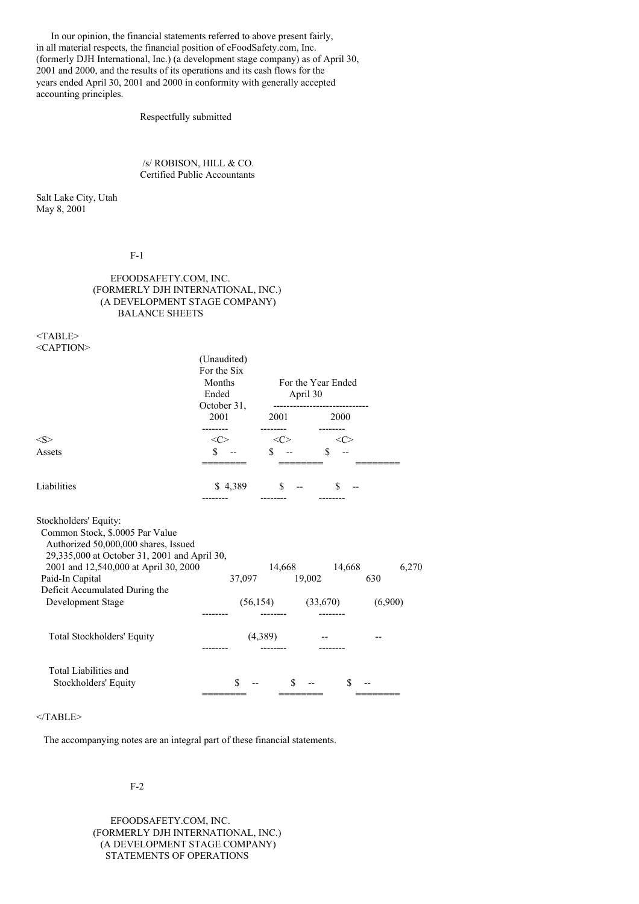In our opinion, the financial statements referred to above present fairly, in all material respects, the financial position of eFoodSafety.com, Inc. (formerly DJH International, Inc.) (a development stage company) as of April 30, 2001 and 2000, and the results of its operations and its cash flows for the years ended April 30, 2001 and 2000 in conformity with generally accepted accounting principles.

Respectfully submitted

### /s/ ROBISON, HILL & CO. Certified Public Accountants

Salt Lake City, Utah May 8, 2001

F-1

## EFOODSAFETY.COM, INC. (FORMERLY DJH INTERNATIONAL, INC.) (A DEVELOPMENT STAGE COMPANY) BALANCE SHEETS

<TABLE> <CAPTION>

|                                                                                                                                                                                                              | (Unaudited)<br>For the Six<br>Months<br>Ended<br>October 31,<br>2001 | April 30<br>2001        | For the Year Ended<br>2000 |              |
|--------------------------------------------------------------------------------------------------------------------------------------------------------------------------------------------------------------|----------------------------------------------------------------------|-------------------------|----------------------------|--------------|
| $<\leq>$                                                                                                                                                                                                     | $<\!\!C\!\!>$                                                        | $\langle C \rangle$     | <c></c>                    |              |
| Assets                                                                                                                                                                                                       | \$                                                                   | $\mathbf{S}$            | \$                         |              |
| Liabilities                                                                                                                                                                                                  | \$4,389                                                              | \$                      | \$                         |              |
| Stockholders' Equity:<br>Common Stock, \$.0005 Par Value<br>Authorized 50,000,000 shares, Issued<br>29,335,000 at October 31, 2001 and April 30,<br>2001 and 12,540,000 at April 30, 2000<br>Paid-In Capital | 37,097                                                               | 14,668 14,668<br>19,002 |                            | 6,270<br>630 |
| Deficit Accumulated During the<br>Development Stage                                                                                                                                                          |                                                                      | $(56,154)$ $(33,670)$   |                            | (6,900)      |
| Total Stockholders' Equity                                                                                                                                                                                   |                                                                      | (4,389)                 |                            |              |
| Total Liabilities and<br>Stockholders' Equity                                                                                                                                                                |                                                                      |                         | \$                         |              |

#### $<$ /TABLE>

The accompanying notes are an integral part of these financial statements.

## F-2

EFOODSAFETY.COM, INC. (FORMERLY DJH INTERNATIONAL, INC.) (A DEVELOPMENT STAGE COMPANY) STATEMENTS OF OPERATIONS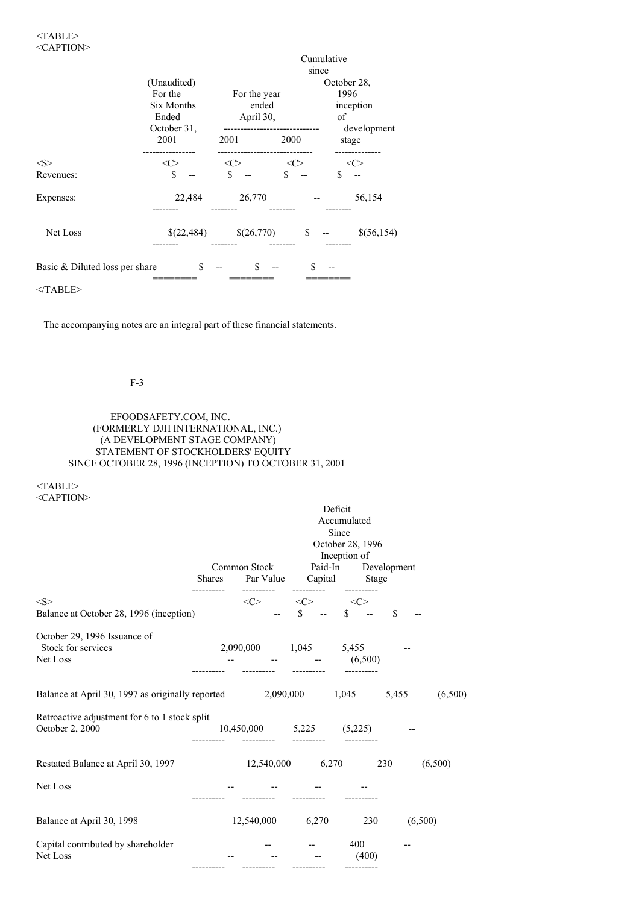|                                |                     |              | Cumulative<br>since |                      |  |
|--------------------------------|---------------------|--------------|---------------------|----------------------|--|
|                                | (Unaudited)         |              |                     | October 28,          |  |
|                                | For the             | For the year |                     | 1996<br>inception    |  |
|                                | Six Months          | ended        |                     |                      |  |
|                                | Ended               | April 30,    |                     | of                   |  |
|                                | October 31,<br>2001 | 2001         | 2000                | development<br>stage |  |
| $<\ge$                         | <c></c>             | <<>          | <c></c>             | <( '>                |  |
| Revenues:                      | \$                  | \$           | $\mathbf{S}$        | \$                   |  |
| Expenses:                      | 22,484              | 26,770       |                     | 56,154               |  |
| Net Loss                       | \$(22,484)          | \$(26,770)   | S                   | \$(56,154)           |  |
| Basic & Diluted loss per share | \$                  | \$           | ዩ                   |                      |  |

 $<$ /TABLE>

The accompanying notes are an integral part of these financial statements.

# F-3

## EFOODSAFETY.COM, INC. (FORMERLY DJH INTERNATIONAL, INC.) (A DEVELOPMENT STAGE COMPANY) STATEMENT OF STOCKHOLDERS' EQUITY SINCE OCTOBER 28, 1996 (INCEPTION) TO OCTOBER 31, 2001

# <TABLE>

<CAPTION>

|                                                                  | <b>Shares</b> | Common Stock<br>Par Value      |                                                                         | Deficit<br>Accumulated<br>Since<br>Inception of | October 28, 1996<br>Paid-In Development<br>Capital Stage |             |         |         |
|------------------------------------------------------------------|---------------|--------------------------------|-------------------------------------------------------------------------|-------------------------------------------------|----------------------------------------------------------|-------------|---------|---------|
| < S >                                                            |               |                                | $\langle \zeta \rangle$ $\langle \zeta \rangle$ $\langle \zeta \rangle$ |                                                 |                                                          |             |         |         |
| Balance at October 28, 1996 (inception)                          |               |                                |                                                                         | $S \t - S \t -$                                 |                                                          | $\mathbf S$ |         |         |
| October 29, 1996 Issuance of<br>Stock for services               |               | 2,090,000 1,045 5,455          |                                                                         |                                                 |                                                          |             |         |         |
| Net Loss                                                         |               |                                | $  (6,500)$                                                             |                                                 |                                                          |             |         |         |
| Balance at April 30, 1997 as originally reported 2,090,000 1,045 |               |                                |                                                                         |                                                 |                                                          | 5,455       |         | (6,500) |
| Retroactive adjustment for 6 to 1 stock split<br>October 2, 2000 |               | $10,450,000$ $5,225$ $(5,225)$ |                                                                         |                                                 |                                                          |             |         |         |
| Restated Balance at April 30, 1997                               |               |                                | 12,540,000 6,270                                                        |                                                 |                                                          | 230         |         | (6,500) |
| Net Loss                                                         |               |                                |                                                                         |                                                 |                                                          |             |         |         |
| Balance at April 30, 1998                                        |               | 12,540,000 6,270               |                                                                         |                                                 | 230                                                      |             | (6,500) |         |
| Capital contributed by shareholder<br>Net Loss                   |               |                                |                                                                         | 400                                             | (400)                                                    |             |         |         |

---------- ---------- ---------- ----------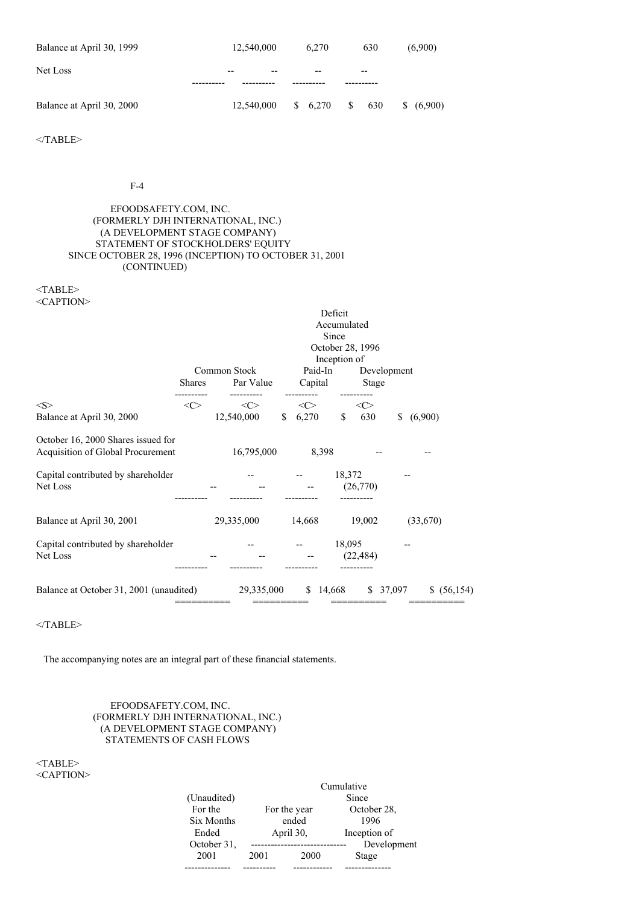| Balance at April 30, 1999 | 12,540,000 | 6.270   | 630                 | (6,900)    |
|---------------------------|------------|---------|---------------------|------------|
| Net Loss                  | --         |         | $- -$               |            |
| Balance at April 30, 2000 | 12,540,000 | \$6.270 | 630<br><sup>S</sup> | \$ (6,900) |

 $<$ /TABLE>

# F-4

## EFOODSAFETY.COM, INC. (FORMERLY DJH INTERNATIONAL, INC.) (A DEVELOPMENT STAGE COMPANY) STATEMENT OF STOCKHOLDERS' EQUITY SINCE OCTOBER 28, 1996 (INCEPTION) TO OCTOBER 31, 2001 (CONTINUED)

<TABLE> <CAPTION>

|                                                                         | Common Stock<br><b>Shares</b> | October 28, 1996<br>Development<br>Stage |              |                     |                          |
|-------------------------------------------------------------------------|-------------------------------|------------------------------------------|--------------|---------------------|--------------------------|
| <s></s>                                                                 | $<\infty$                     | $<\infty$                                | $\langle$ C> | <<>                 |                          |
| Balance at April 30, 2000                                               |                               | 12,540,000                               | \$<br>6,270  | \$<br>630           | (6,900)<br>\$            |
| October 16, 2000 Shares issued for<br>Acquisition of Global Procurement |                               | 16,795,000                               |              | 8,398               |                          |
| Capital contributed by shareholder<br>Net Loss                          |                               |                                          |              | 18,372<br>(26,770)  |                          |
| Balance at April 30, 2001                                               |                               | 29,335,000                               | 14,668       | 19,002              | (33,670)                 |
| Capital contributed by shareholder<br>Net Loss                          |                               |                                          |              | 18,095<br>(22, 484) |                          |
| Balance at October 31, 2001 (unaudited)                                 |                               | 29,335,000                               | S.           | 14,668              | \$ 37,097<br>\$ (56,154) |

 $<$ /TABLE>

The accompanying notes are an integral part of these financial statements.

EFOODSAFETY.COM, INC. (FORMERLY DJH INTERNATIONAL, INC.) (A DEVELOPMENT STAGE COMPANY) STATEMENTS OF CASH FLOWS

<TABLE> <CAPTION>

|             |       | Cumulative   |              |  |  |  |
|-------------|-------|--------------|--------------|--|--|--|
| (Unaudited) |       | Since        |              |  |  |  |
| For the     |       | For the year | October 28,  |  |  |  |
| Six Months  | ended |              | 1996         |  |  |  |
| Ended       |       | April 30,    | Inception of |  |  |  |
| October 31, |       |              | Development  |  |  |  |
| 2001        | 2001  | 2000         | Stage        |  |  |  |
|             |       |              |              |  |  |  |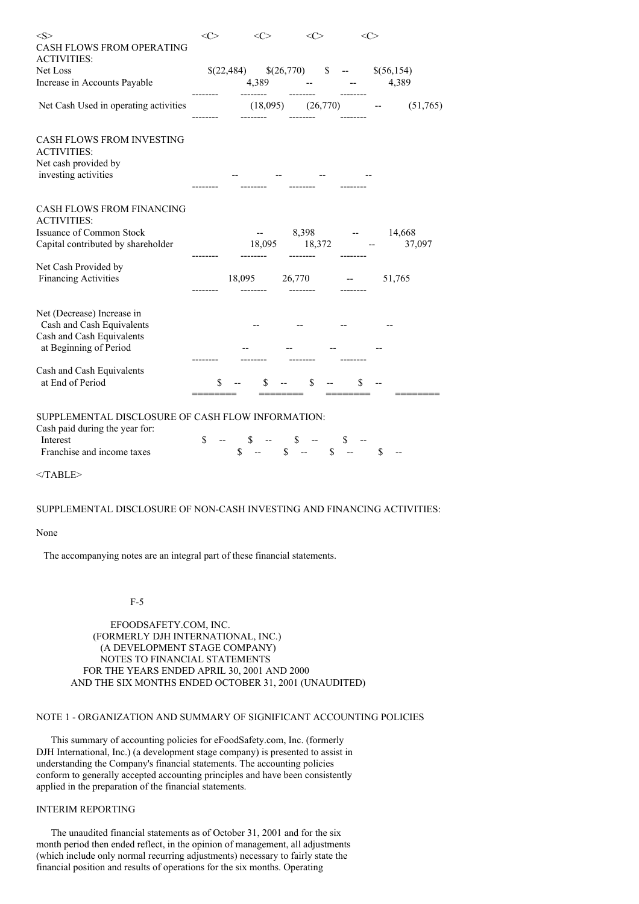| < S ><br><b>CASH FLOWS FROM OPERATING</b>                                                                                       | <<> | <<>                           | <<>                        | <<>              |
|---------------------------------------------------------------------------------------------------------------------------------|-----|-------------------------------|----------------------------|------------------|
| <b>ACTIVITIES:</b>                                                                                                              |     |                               |                            |                  |
| Net Loss                                                                                                                        |     | $$(22,484)$ $$(26,770)$ \$ -- |                            | \$(56,154)       |
| Increase in Accounts Payable                                                                                                    |     | 4,389                         |                            | 4,389            |
| Net Cash Used in operating activities                                                                                           |     |                               | $(18,095)$ $(26,770)$      | (51,765)         |
| CASH FLOWS FROM INVESTING<br><b>ACTIVITIES:</b><br>Net cash provided by<br>investing activities                                 |     |                               |                            |                  |
| <b>CASH FLOWS FROM FINANCING</b><br><b>ACTIVITIES:</b><br><b>Issuance of Common Stock</b><br>Capital contributed by shareholder |     |                               | $8,398$ -<br>18,095 18,372 | 14,668<br>37,097 |
| Net Cash Provided by<br><b>Financing Activities</b>                                                                             |     | $18,095$ $26,770$ --          |                            | 51,765           |
| Net (Decrease) Increase in<br>Cash and Cash Equivalents<br>Cash and Cash Equivalents<br>at Beginning of Period                  |     |                               |                            |                  |
| Cash and Cash Equivalents<br>at End of Period                                                                                   | S   | \$                            | \$                         | \$               |
| SUPPLEMENTAL DISCLOSURE OF CASH FLOW INFORMATION:<br>Cash paid during the year for:                                             |     |                               |                            |                  |

| Interest                   |  | $S \rightarrow S \rightarrow S \rightarrow S \rightarrow S$ | $- -$                            |  |
|----------------------------|--|-------------------------------------------------------------|----------------------------------|--|
| Franchise and income taxes |  |                                                             | $S \sim S \sim S$ and $S \sim S$ |  |

 $<$ /TABLE>

### SUPPLEMENTAL DISCLOSURE OF NON-CASH INVESTING AND FINANCING ACTIVITIES:

## None

The accompanying notes are an integral part of these financial statements.

#### F-5

EFOODSAFETY.COM, INC. (FORMERLY DJH INTERNATIONAL, INC.) (A DEVELOPMENT STAGE COMPANY) NOTES TO FINANCIAL STATEMENTS FOR THE YEARS ENDED APRIL 30, 2001 AND 2000 AND THE SIX MONTHS ENDED OCTOBER 31, 2001 (UNAUDITED)

#### NOTE 1 - ORGANIZATION AND SUMMARY OF SIGNIFICANT ACCOUNTING POLICIES

This summary of accounting policies for eFoodSafety.com, Inc. (formerly DJH International, Inc.) (a development stage company) is presented to assist in understanding the Company's financial statements. The accounting policies conform to generally accepted accounting principles and have been consistently applied in the preparation of the financial statements.

### INTERIM REPORTING

The unaudited financial statements as of October 31, 2001 and for the six month period then ended reflect, in the opinion of management, all adjustments (which include only normal recurring adjustments) necessary to fairly state the financial position and results of operations for the six months. Operating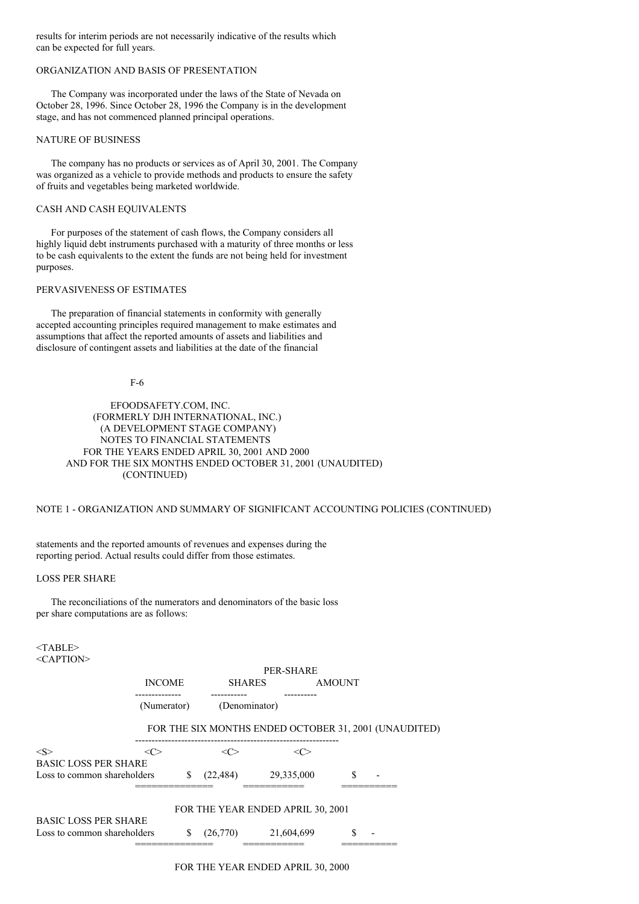results for interim periods are not necessarily indicative of the results which can be expected for full years.

# ORGANIZATION AND BASIS OF PRESENTATION

The Company was incorporated under the laws of the State of Nevada on October 28, 1996. Since October 28, 1996 the Company is in the development stage, and has not commenced planned principal operations.

#### NATURE OF BUSINESS

The company has no products or services as of April 30, 2001. The Company was organized as a vehicle to provide methods and products to ensure the safety of fruits and vegetables being marketed worldwide.

## CASH AND CASH EQUIVALENTS

For purposes of the statement of cash flows, the Company considers all highly liquid debt instruments purchased with a maturity of three months or less to be cash equivalents to the extent the funds are not being held for investment purposes.

## PERVASIVENESS OF ESTIMATES

The preparation of financial statements in conformity with generally accepted accounting principles required management to make estimates and assumptions that affect the reported amounts of assets and liabilities and disclosure of contingent assets and liabilities at the date of the financial

F-6

EFOODSAFETY.COM, INC. (FORMERLY DJH INTERNATIONAL, INC.) (A DEVELOPMENT STAGE COMPANY) NOTES TO FINANCIAL STATEMENTS FOR THE YEARS ENDED APRIL 30, 2001 AND 2000 AND FOR THE SIX MONTHS ENDED OCTOBER 31, 2001 (UNAUDITED) (CONTINUED)

### NOTE 1 - ORGANIZATION AND SUMMARY OF SIGNIFICANT ACCOUNTING POLICIES (CONTINUED)

statements and the reported amounts of revenues and expenses during the reporting period. Actual results could differ from those estimates.

#### LOSS PER SHARE

The reconciliations of the numerators and denominators of the basic loss per share computations are as follows:

<TABLE> <CAPTION>

|                                                            | PER-SHARE     |    |                  |                                                       |               |  |  |
|------------------------------------------------------------|---------------|----|------------------|-------------------------------------------------------|---------------|--|--|
|                                                            | <b>INCOME</b> |    | <b>SHARES</b>    |                                                       | <b>AMOUNT</b> |  |  |
|                                                            | (Numerator)   |    | (Denominator)    |                                                       |               |  |  |
|                                                            |               |    |                  | FOR THE SIX MONTHS ENDED OCTOBER 31, 2001 (UNAUDITED) |               |  |  |
| $<\!\!S\!\!>$                                              | <∩>           |    | $< \!\! C \!\!>$ |                                                       |               |  |  |
| <b>BASIC LOSS PER SHARE</b>                                |               |    |                  |                                                       |               |  |  |
| Loss to common shareholders                                |               | \$ | (22, 484)        | 29,335,000                                            |               |  |  |
| <b>BASIC LOSS PER SHARE</b><br>Loss to common shareholders |               | S  | (26,770)         | FOR THE YEAR ENDED APRIL 30, 2001<br>21,604,699       |               |  |  |

## FOR THE YEAR ENDED APRIL 30, 2000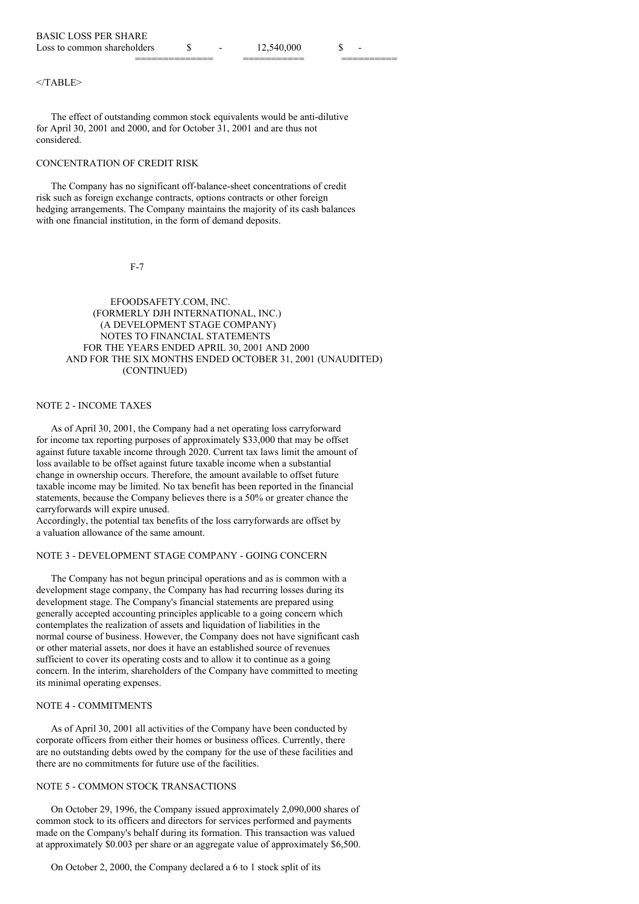============== =========== ==========

 $<$ /TABLE>

The effect of outstanding common stock equivalents would be anti-dilutive for April 30, 2001 and 2000, and for October 31, 2001 and are thus not considered.

#### CONCENTRATION OF CREDIT RISK

The Company has no significant off-balance-sheet concentrations of credit risk such as foreign exchange contracts, options contracts or other foreign hedging arrangements. The Company maintains the majority of its cash balances with one financial institution, in the form of demand deposits.

F-7

EFOODSAFETY.COM, INC. (FORMERLY DJH INTERNATIONAL, INC.) (A DEVELOPMENT STAGE COMPANY) NOTES TO FINANCIAL STATEMENTS FOR THE YEARS ENDED APRIL 30, 2001 AND 2000 AND FOR THE SIX MONTHS ENDED OCTOBER 31, 2001 (UNAUDITED) (CONTINUED)

#### NOTE 2 - INCOME TAXES

As of April 30, 2001, the Company had a net operating loss carryforward for income tax reporting purposes of approximately \$33,000 that may be offset against future taxable income through 2020. Current tax laws limit the amount of loss available to be offset against future taxable income when a substantial change in ownership occurs. Therefore, the amount available to offset future taxable income may be limited. No tax benefit has been reported in the financial statements, because the Company believes there is a 50% or greater chance the carryforwards will expire unused.

Accordingly, the potential tax benefits of the loss carryforwards are offset by a valuation allowance of the same amount.

### NOTE 3 - DEVELOPMENT STAGE COMPANY - GOING CONCERN

The Company has not begun principal operations and as is common with a development stage company, the Company has had recurring losses during its development stage. The Company's financial statements are prepared using generally accepted accounting principles applicable to a going concern which contemplates the realization of assets and liquidation of liabilities in the normal course of business. However, the Company does not have significant cash or other material assets, nor does it have an established source of revenues sufficient to cover its operating costs and to allow it to continue as a going concern. In the interim, shareholders of the Company have committed to meeting its minimal operating expenses.

## NOTE 4 - COMMITMENTS

As of April 30, 2001 all activities of the Company have been conducted by corporate officers from either their homes or business offices. Currently, there are no outstanding debts owed by the company for the use of these facilities and there are no commitments for future use of the facilities.

## NOTE 5 - COMMON STOCK TRANSACTIONS

On October 29, 1996, the Company issued approximately 2,090,000 shares of common stock to its officers and directors for services performed and payments made on the Company's behalf during its formation. This transaction was valued at approximately \$0.003 per share or an aggregate value of approximately \$6,500.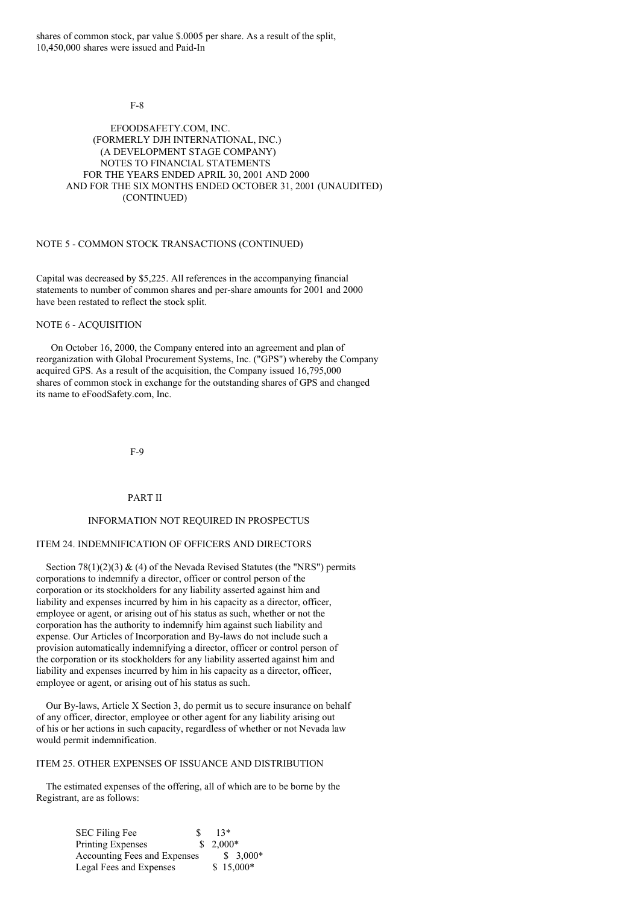shares of common stock, par value \$.0005 per share. As a result of the split, 10,450,000 shares were issued and Paid-In

#### F-8

## EFOODSAFETY.COM, INC. (FORMERLY DJH INTERNATIONAL, INC.) (A DEVELOPMENT STAGE COMPANY) NOTES TO FINANCIAL STATEMENTS FOR THE YEARS ENDED APRIL 30, 2001 AND 2000 AND FOR THE SIX MONTHS ENDED OCTOBER 31, 2001 (UNAUDITED) (CONTINUED)

## NOTE 5 - COMMON STOCK TRANSACTIONS (CONTINUED)

Capital was decreased by \$5,225. All references in the accompanying financial statements to number of common shares and per-share amounts for 2001 and 2000 have been restated to reflect the stock split.

## NOTE 6 - ACQUISITION

On October 16, 2000, the Company entered into an agreement and plan of reorganization with Global Procurement Systems, Inc. ("GPS") whereby the Company acquired GPS. As a result of the acquisition, the Company issued 16,795,000 shares of common stock in exchange for the outstanding shares of GPS and changed its name to eFoodSafety.com, Inc.

F-9

## PART II

#### INFORMATION NOT REQUIRED IN PROSPECTUS

#### ITEM 24. INDEMNIFICATION OF OFFICERS AND DIRECTORS

Section  $78(1)(2)(3)$  & (4) of the Nevada Revised Statutes (the "NRS") permits corporations to indemnify a director, officer or control person of the corporation or its stockholders for any liability asserted against him and liability and expenses incurred by him in his capacity as a director, officer, employee or agent, or arising out of his status as such, whether or not the corporation has the authority to indemnify him against such liability and expense. Our Articles of Incorporation and By-laws do not include such a provision automatically indemnifying a director, officer or control person of the corporation or its stockholders for any liability asserted against him and liability and expenses incurred by him in his capacity as a director, officer, employee or agent, or arising out of his status as such.

Our By-laws, Article X Section 3, do permit us to secure insurance on behalf of any officer, director, employee or other agent for any liability arising out of his or her actions in such capacity, regardless of whether or not Nevada law would permit indemnification.

## ITEM 25. OTHER EXPENSES OF ISSUANCE AND DISTRIBUTION

The estimated expenses of the offering, all of which are to be borne by the Registrant, are as follows:

| <b>SEC Filing Fee</b>        | S. | $13*$     |            |
|------------------------------|----|-----------|------------|
| <b>Printing Expenses</b>     |    | $$2,000*$ |            |
| Accounting Fees and Expenses |    |           | $$3.000*$  |
| Legal Fees and Expenses      |    |           | $$15,000*$ |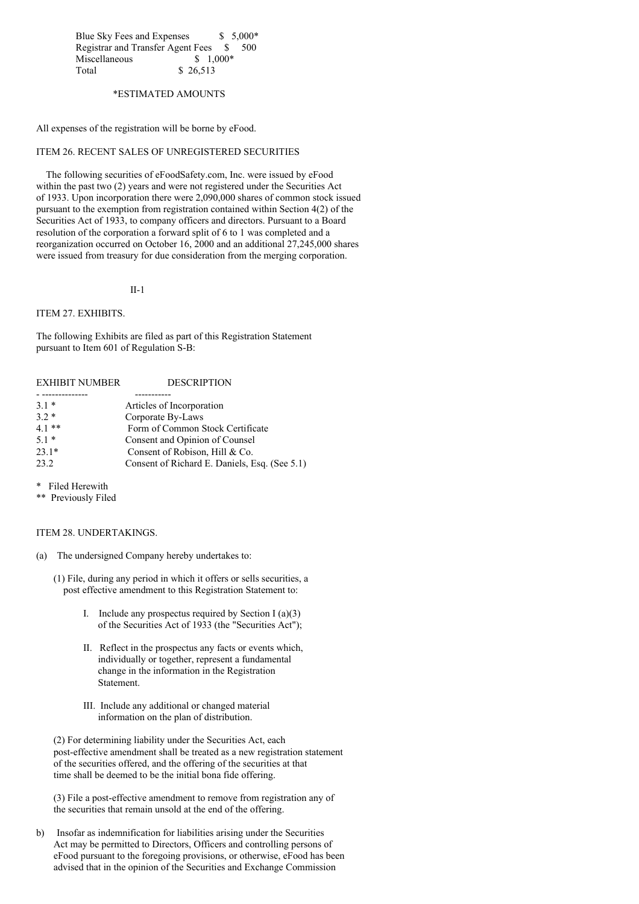Blue Sky Fees and Expenses  $$5,000*$ Registrar and Transfer Agent Fees \$ 500 Miscellaneous \$ 1,000\* Total \$ 26,513

## \*ESTIMATED AMOUNTS

All expenses of the registration will be borne by eFood.

#### ITEM 26. RECENT SALES OF UNREGISTERED SECURITIES

The following securities of eFoodSafety.com, Inc. were issued by eFood within the past two (2) years and were not registered under the Securities Act of 1933. Upon incorporation there were 2,090,000 shares of common stock issued pursuant to the exemption from registration contained within Section 4(2) of the Securities Act of 1933, to company officers and directors. Pursuant to a Board resolution of the corporation a forward split of 6 to 1 was completed and a reorganization occurred on October 16, 2000 and an additional 27,245,000 shares were issued from treasury for due consideration from the merging corporation.

II-1

### ITEM 27. EXHIBITS.

The following Exhibits are filed as part of this Registration Statement pursuant to Item 601 of Regulation S-B:

| <b>EXHIBIT NUMBER</b> |  |
|-----------------------|--|
|-----------------------|--|

#### DESCRIPTION

| $3.1*$  | Articles of Incorporation                     |
|---------|-----------------------------------------------|
| $3.2*$  | Corporate By-Laws                             |
| $4.1**$ | Form of Common Stock Certificate              |
| $5.1*$  | Consent and Opinion of Counsel                |
| $23.1*$ | Consent of Robison, Hill & Co.                |
| 23.2    | Consent of Richard E. Daniels, Esq. (See 5.1) |

\* Filed Herewith

\*\* Previously Filed

#### ITEM 28. UNDERTAKINGS.

- (a) The undersigned Company hereby undertakes to:
	- (1) File, during any period in which it offers or sells securities, a post effective amendment to this Registration Statement to:
		- I. Include any prospectus required by Section I  $(a)(3)$ of the Securities Act of 1933 (the "Securities Act");
		- II. Reflect in the prospectus any facts or events which, individually or together, represent a fundamental change in the information in the Registration Statement.
		- III. Include any additional or changed material information on the plan of distribution.

(2) For determining liability under the Securities Act, each post-effective amendment shall be treated as a new registration statement of the securities offered, and the offering of the securities at that time shall be deemed to be the initial bona fide offering.

(3) File a post-effective amendment to remove from registration any of the securities that remain unsold at the end of the offering.

b) Insofar as indemnification for liabilities arising under the Securities Act may be permitted to Directors, Officers and controlling persons of eFood pursuant to the foregoing provisions, or otherwise, eFood has been advised that in the opinion of the Securities and Exchange Commission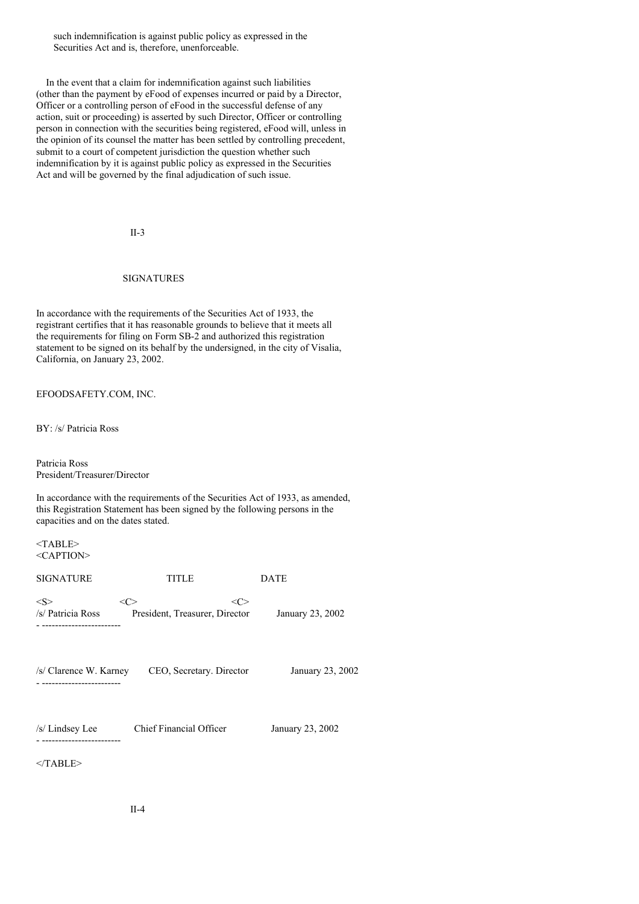such indemnification is against public policy as expressed in the Securities Act and is, therefore, unenforceable.

In the event that a claim for indemnification against such liabilities (other than the payment by eFood of expenses incurred or paid by a Director, Officer or a controlling person of eFood in the successful defense of any action, suit or proceeding) is asserted by such Director, Officer or controlling person in connection with the securities being registered, eFood will, unless in the opinion of its counsel the matter has been settled by controlling precedent, submit to a court of competent jurisdiction the question whether such indemnification by it is against public policy as expressed in the Securities Act and will be governed by the final adjudication of such issue.

II-3

## SIGNATURES

In accordance with the requirements of the Securities Act of 1933, the registrant certifies that it has reasonable grounds to believe that it meets all the requirements for filing on Form SB-2 and authorized this registration statement to be signed on its behalf by the undersigned, in the city of Visalia, California, on January 23, 2002.

EFOODSAFETY.COM, INC.

BY: /s/ Patricia Ross

Patricia Ross President/Treasurer/Director

In accordance with the requirements of the Securities Act of 1933, as amended, this Registration Statement has been signed by the following persons in the capacities and on the dates stated.

<TABLE> <CAPTION>

| <b>SIGNATURE</b>                   | <b>TITLE</b>                                 | <b>DATE</b>      |
|------------------------------------|----------------------------------------------|------------------|
| $<\!\!S\!\!>$<br>/s/ Patricia Ross | $\epsilon$<br>President, Treasurer, Director | January 23, 2002 |
|                                    |                                              |                  |

/s/ Clarence W. Karney CEO, Secretary. Director January 23, 2002 - ------------------------

- ------------------------

/s/ Lindsey Lee Chief Financial Officer January 23, 2002

 $<$ /TABLE>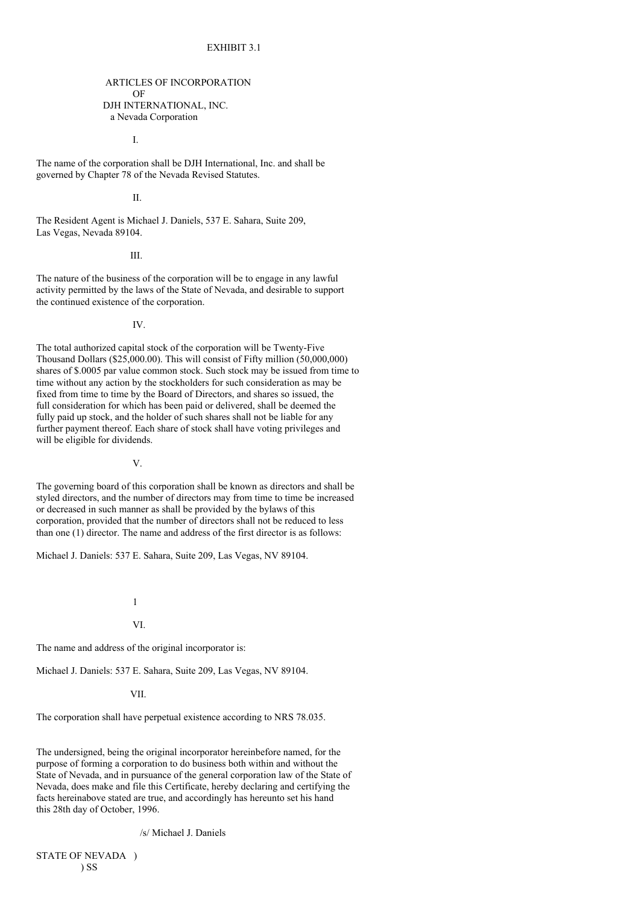### EXHIBIT 3.1

ARTICLES OF INCORPORATION OF DJH INTERNATIONAL, INC. a Nevada Corporation

I.

The name of the corporation shall be DJH International, Inc. and shall be governed by Chapter 78 of the Nevada Revised Statutes.

II.

The Resident Agent is Michael J. Daniels, 537 E. Sahara, Suite 209, Las Vegas, Nevada 89104.

III.

The nature of the business of the corporation will be to engage in any lawful activity permitted by the laws of the State of Nevada, and desirable to support the continued existence of the corporation.

IV.

The total authorized capital stock of the corporation will be Twenty-Five Thousand Dollars (\$25,000.00). This will consist of Fifty million (50,000,000) shares of \$.0005 par value common stock. Such stock may be issued from time to time without any action by the stockholders for such consideration as may be fixed from time to time by the Board of Directors, and shares so issued, the full consideration for which has been paid or delivered, shall be deemed the fully paid up stock, and the holder of such shares shall not be liable for any further payment thereof. Each share of stock shall have voting privileges and will be eligible for dividends.

V.

The governing board of this corporation shall be known as directors and shall be styled directors, and the number of directors may from time to time be increased or decreased in such manner as shall be provided by the bylaws of this corporation, provided that the number of directors shall not be reduced to less than one (1) director. The name and address of the first director is as follows:

Michael J. Daniels: 537 E. Sahara, Suite 209, Las Vegas, NV 89104.

1 VI.

The name and address of the original incorporator is:

Michael J. Daniels: 537 E. Sahara, Suite 209, Las Vegas, NV 89104.

VII.

The corporation shall have perpetual existence according to NRS 78.035.

The undersigned, being the original incorporator hereinbefore named, for the purpose of forming a corporation to do business both within and without the State of Nevada, and in pursuance of the general corporation law of the State of Nevada, does make and file this Certificate, hereby declaring and certifying the facts hereinabove stated are true, and accordingly has hereunto set his hand this 28th day of October, 1996.

/s/ Michael J. Daniels

STATE OF NEVADA ) ) SS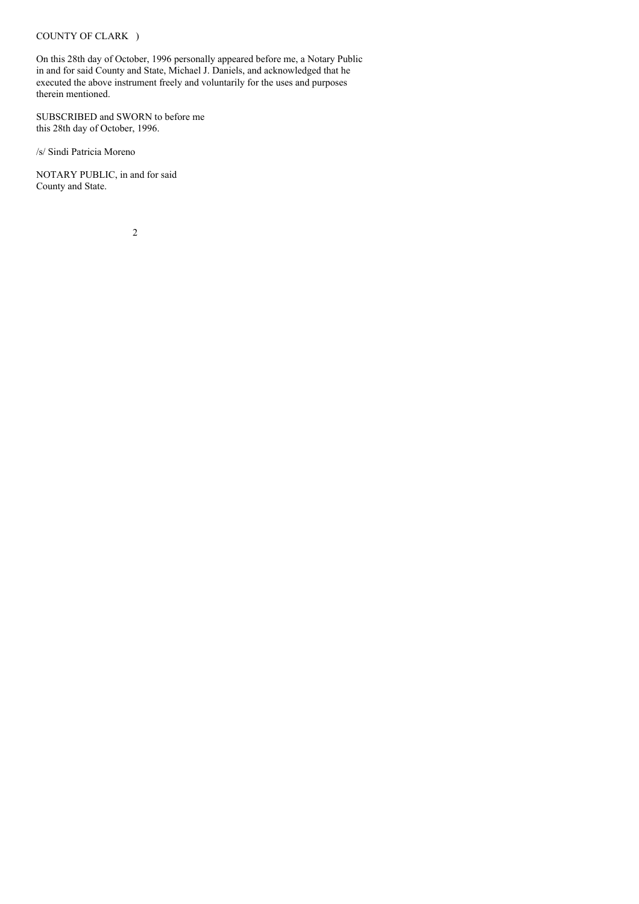# COUNTY OF CLARK )

On this 28th day of October, 1996 personally appeared before me, a Notary Public in and for said County and State, Michael J. Daniels, and acknowledged that he executed the above instrument freely and voluntarily for the uses and purposes therein mentioned.

SUBSCRIBED and SWORN to before me this 28th day of October, 1996.

/s/ Sindi Patricia Moreno

NOTARY PUBLIC, in and for said County and State.

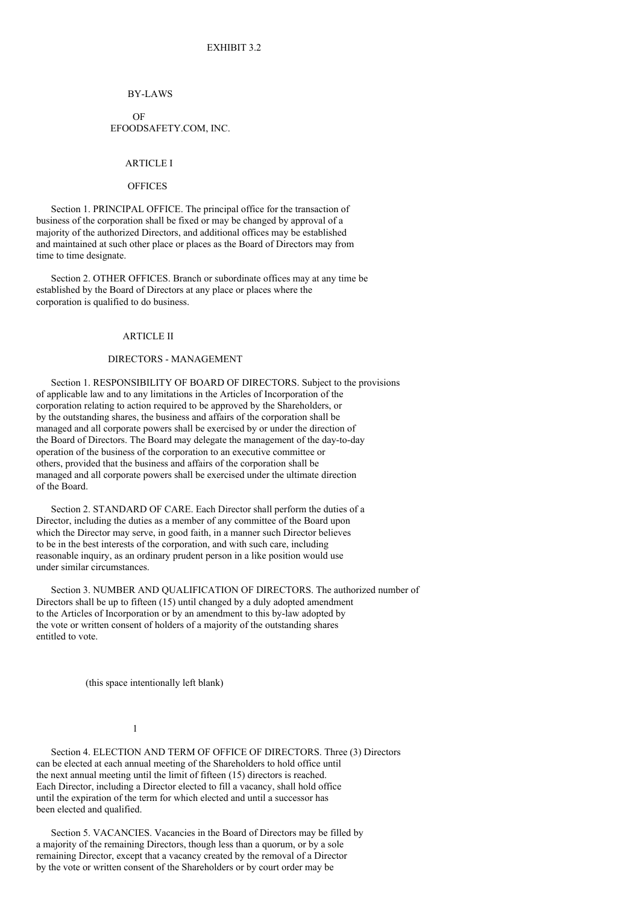## BY-LAWS

 $\Omega$ F EFOODSAFETY.COM, INC.

## ARTICLE I

## **OFFICES**

Section 1. PRINCIPAL OFFICE. The principal office for the transaction of business of the corporation shall be fixed or may be changed by approval of a majority of the authorized Directors, and additional offices may be established and maintained at such other place or places as the Board of Directors may from time to time designate.

Section 2. OTHER OFFICES. Branch or subordinate offices may at any time be established by the Board of Directors at any place or places where the corporation is qualified to do business.

## ARTICLE II

## DIRECTORS - MANAGEMENT

Section 1. RESPONSIBILITY OF BOARD OF DIRECTORS. Subject to the provisions of applicable law and to any limitations in the Articles of Incorporation of the corporation relating to action required to be approved by the Shareholders, or by the outstanding shares, the business and affairs of the corporation shall be managed and all corporate powers shall be exercised by or under the direction of the Board of Directors. The Board may delegate the management of the day-to-day operation of the business of the corporation to an executive committee or others, provided that the business and affairs of the corporation shall be managed and all corporate powers shall be exercised under the ultimate direction of the Board.

Section 2. STANDARD OF CARE. Each Director shall perform the duties of a Director, including the duties as a member of any committee of the Board upon which the Director may serve, in good faith, in a manner such Director believes to be in the best interests of the corporation, and with such care, including reasonable inquiry, as an ordinary prudent person in a like position would use under similar circumstances.

Section 3. NUMBER AND QUALIFICATION OF DIRECTORS. The authorized number of Directors shall be up to fifteen (15) until changed by a duly adopted amendment to the Articles of Incorporation or by an amendment to this by-law adopted by the vote or written consent of holders of a majority of the outstanding shares entitled to vote.

(this space intentionally left blank)

# 1

Section 4. ELECTION AND TERM OF OFFICE OF DIRECTORS. Three (3) Directors can be elected at each annual meeting of the Shareholders to hold office until the next annual meeting until the limit of fifteen (15) directors is reached. Each Director, including a Director elected to fill a vacancy, shall hold office until the expiration of the term for which elected and until a successor has been elected and qualified.

Section 5. VACANCIES. Vacancies in the Board of Directors may be filled by a majority of the remaining Directors, though less than a quorum, or by a sole remaining Director, except that a vacancy created by the removal of a Director by the vote or written consent of the Shareholders or by court order may be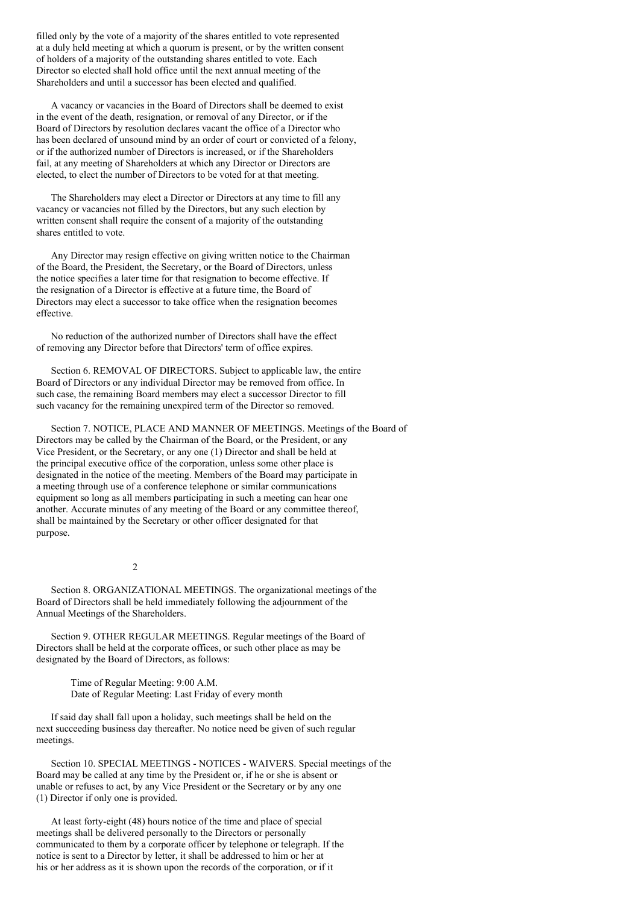filled only by the vote of a majority of the shares entitled to vote represented at a duly held meeting at which a quorum is present, or by the written consent of holders of a majority of the outstanding shares entitled to vote. Each Director so elected shall hold office until the next annual meeting of the Shareholders and until a successor has been elected and qualified.

A vacancy or vacancies in the Board of Directors shall be deemed to exist in the event of the death, resignation, or removal of any Director, or if the Board of Directors by resolution declares vacant the office of a Director who has been declared of unsound mind by an order of court or convicted of a felony, or if the authorized number of Directors is increased, or if the Shareholders fail, at any meeting of Shareholders at which any Director or Directors are elected, to elect the number of Directors to be voted for at that meeting.

The Shareholders may elect a Director or Directors at any time to fill any vacancy or vacancies not filled by the Directors, but any such election by written consent shall require the consent of a majority of the outstanding shares entitled to vote.

Any Director may resign effective on giving written notice to the Chairman of the Board, the President, the Secretary, or the Board of Directors, unless the notice specifies a later time for that resignation to become effective. If the resignation of a Director is effective at a future time, the Board of Directors may elect a successor to take office when the resignation becomes effective.

No reduction of the authorized number of Directors shall have the effect of removing any Director before that Directors' term of office expires.

Section 6. REMOVAL OF DIRECTORS. Subject to applicable law, the entire Board of Directors or any individual Director may be removed from office. In such case, the remaining Board members may elect a successor Director to fill such vacancy for the remaining unexpired term of the Director so removed.

Section 7. NOTICE, PLACE AND MANNER OF MEETINGS. Meetings of the Board of Directors may be called by the Chairman of the Board, or the President, or any Vice President, or the Secretary, or any one (1) Director and shall be held at the principal executive office of the corporation, unless some other place is designated in the notice of the meeting. Members of the Board may participate in a meeting through use of a conference telephone or similar communications equipment so long as all members participating in such a meeting can hear one another. Accurate minutes of any meeting of the Board or any committee thereof, shall be maintained by the Secretary or other officer designated for that purpose.

 $\mathfrak{D}$ 

Section 8. ORGANIZATIONAL MEETINGS. The organizational meetings of the Board of Directors shall be held immediately following the adjournment of the Annual Meetings of the Shareholders.

Section 9. OTHER REGULAR MEETINGS. Regular meetings of the Board of Directors shall be held at the corporate offices, or such other place as may be designated by the Board of Directors, as follows:

> Time of Regular Meeting: 9:00 A.M. Date of Regular Meeting: Last Friday of every month

If said day shall fall upon a holiday, such meetings shall be held on the next succeeding business day thereafter. No notice need be given of such regular meetings.

Section 10. SPECIAL MEETINGS - NOTICES - WAIVERS. Special meetings of the Board may be called at any time by the President or, if he or she is absent or unable or refuses to act, by any Vice President or the Secretary or by any one (1) Director if only one is provided.

At least forty-eight (48) hours notice of the time and place of special meetings shall be delivered personally to the Directors or personally communicated to them by a corporate officer by telephone or telegraph. If the notice is sent to a Director by letter, it shall be addressed to him or her at his or her address as it is shown upon the records of the corporation, or if it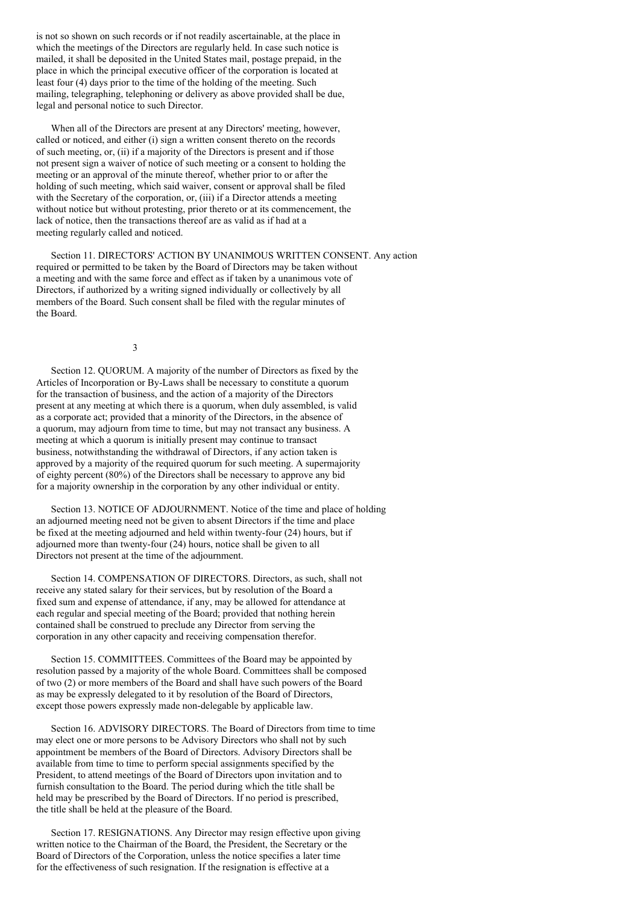is not so shown on such records or if not readily ascertainable, at the place in which the meetings of the Directors are regularly held. In case such notice is mailed, it shall be deposited in the United States mail, postage prepaid, in the place in which the principal executive officer of the corporation is located at least four (4) days prior to the time of the holding of the meeting. Such mailing, telegraphing, telephoning or delivery as above provided shall be due, legal and personal notice to such Director.

When all of the Directors are present at any Directors' meeting, however, called or noticed, and either (i) sign a written consent thereto on the records of such meeting, or, (ii) if a majority of the Directors is present and if those not present sign a waiver of notice of such meeting or a consent to holding the meeting or an approval of the minute thereof, whether prior to or after the holding of such meeting, which said waiver, consent or approval shall be filed with the Secretary of the corporation, or, (iii) if a Director attends a meeting without notice but without protesting, prior thereto or at its commencement, the lack of notice, then the transactions thereof are as valid as if had at a meeting regularly called and noticed.

Section 11. DIRECTORS' ACTION BY UNANIMOUS WRITTEN CONSENT. Any action required or permitted to be taken by the Board of Directors may be taken without a meeting and with the same force and effect as if taken by a unanimous vote of Directors, if authorized by a writing signed individually or collectively by all members of the Board. Such consent shall be filed with the regular minutes of the Board.

3

Section 12. QUORUM. A majority of the number of Directors as fixed by the Articles of Incorporation or By-Laws shall be necessary to constitute a quorum for the transaction of business, and the action of a majority of the Directors present at any meeting at which there is a quorum, when duly assembled, is valid as a corporate act; provided that a minority of the Directors, in the absence of a quorum, may adjourn from time to time, but may not transact any business. A meeting at which a quorum is initially present may continue to transact business, notwithstanding the withdrawal of Directors, if any action taken is approved by a majority of the required quorum for such meeting. A supermajority of eighty percent (80%) of the Directors shall be necessary to approve any bid for a majority ownership in the corporation by any other individual or entity.

Section 13. NOTICE OF ADJOURNMENT. Notice of the time and place of holding an adjourned meeting need not be given to absent Directors if the time and place be fixed at the meeting adjourned and held within twenty-four (24) hours, but if adjourned more than twenty-four (24) hours, notice shall be given to all Directors not present at the time of the adjournment.

Section 14. COMPENSATION OF DIRECTORS. Directors, as such, shall not receive any stated salary for their services, but by resolution of the Board a fixed sum and expense of attendance, if any, may be allowed for attendance at each regular and special meeting of the Board; provided that nothing herein contained shall be construed to preclude any Director from serving the corporation in any other capacity and receiving compensation therefor.

Section 15. COMMITTEES. Committees of the Board may be appointed by resolution passed by a majority of the whole Board. Committees shall be composed of two (2) or more members of the Board and shall have such powers of the Board as may be expressly delegated to it by resolution of the Board of Directors, except those powers expressly made non-delegable by applicable law.

Section 16. ADVISORY DIRECTORS. The Board of Directors from time to time may elect one or more persons to be Advisory Directors who shall not by such appointment be members of the Board of Directors. Advisory Directors shall be available from time to time to perform special assignments specified by the President, to attend meetings of the Board of Directors upon invitation and to furnish consultation to the Board. The period during which the title shall be held may be prescribed by the Board of Directors. If no period is prescribed, the title shall be held at the pleasure of the Board.

Section 17. RESIGNATIONS. Any Director may resign effective upon giving written notice to the Chairman of the Board, the President, the Secretary or the Board of Directors of the Corporation, unless the notice specifies a later time for the effectiveness of such resignation. If the resignation is effective at a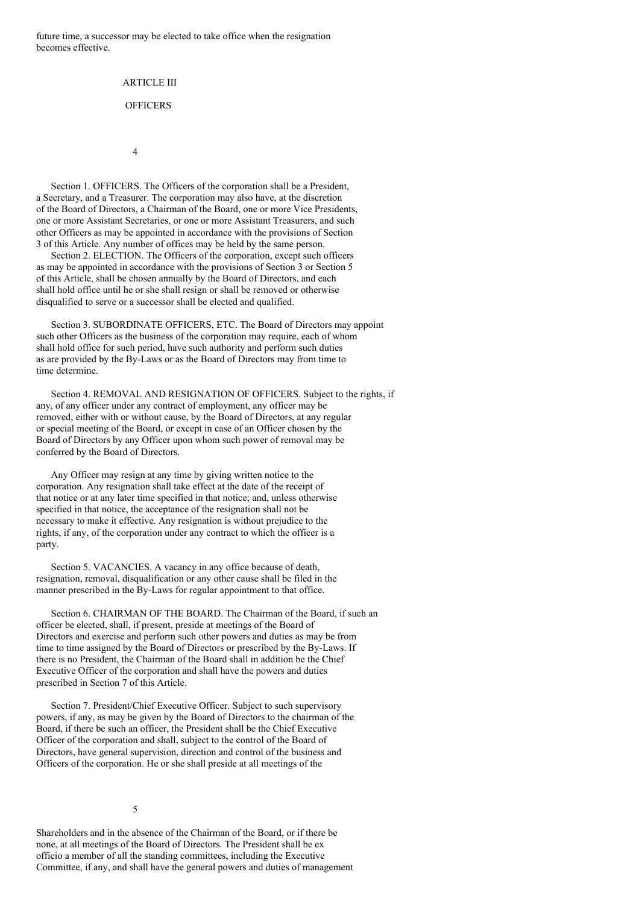future time, a successor may be elected to take office when the resignation becomes effective.

# ARTICLE III

# **OFFICERS**

4

Section 1. OFFICERS. The Officers of the corporation shall be a President, a Secretary, and a Treasurer. The corporation may also have, at the discretion of the Board of Directors, a Chairman of the Board, one or more Vice Presidents, one or more Assistant Secretaries, or one or more Assistant Treasurers, and such other Officers as may be appointed in accordance with the provisions of Section 3 of this Article. Any number of offices may be held by the same person.

Section 2. ELECTION. The Officers of the corporation, except such officers as may be appointed in accordance with the provisions of Section 3 or Section 5 of this Article, shall be chosen annually by the Board of Directors, and each shall hold office until he or she shall resign or shall be removed or otherwise disqualified to serve or a successor shall be elected and qualified.

Section 3. SUBORDINATE OFFICERS, ETC. The Board of Directors may appoint such other Officers as the business of the corporation may require, each of whom shall hold office for such period, have such authority and perform such duties as are provided by the By-Laws or as the Board of Directors may from time to time determine.

Section 4. REMOVAL AND RESIGNATION OF OFFICERS. Subject to the rights, if any, of any officer under any contract of employment, any officer may be removed, either with or without cause, by the Board of Directors, at any regular or special meeting of the Board, or except in case of an Officer chosen by the Board of Directors by any Officer upon whom such power of removal may be conferred by the Board of Directors.

Any Officer may resign at any time by giving written notice to the corporation. Any resignation shall take effect at the date of the receipt of that notice or at any later time specified in that notice; and, unless otherwise specified in that notice, the acceptance of the resignation shall not be necessary to make it effective. Any resignation is without prejudice to the rights, if any, of the corporation under any contract to which the officer is a party.

Section 5. VACANCIES. A vacancy in any office because of death, resignation, removal, disqualification or any other cause shall be filed in the manner prescribed in the By-Laws for regular appointment to that office.

Section 6. CHAIRMAN OF THE BOARD. The Chairman of the Board, if such an officer be elected, shall, if present, preside at meetings of the Board of Directors and exercise and perform such other powers and duties as may be from time to time assigned by the Board of Directors or prescribed by the By-Laws. If there is no President, the Chairman of the Board shall in addition be the Chief Executive Officer of the corporation and shall have the powers and duties prescribed in Section 7 of this Article.

Section 7. President/Chief Executive Officer. Subject to such supervisory powers, if any, as may be given by the Board of Directors to the chairman of the Board, if there be such an officer, the President shall be the Chief Executive Officer of the corporation and shall, subject to the control of the Board of Directors, have general supervision, direction and control of the business and Officers of the corporation. He or she shall preside at all meetings of the

Shareholders and in the absence of the Chairman of the Board, or if there be none, at all meetings of the Board of Directors. The President shall be ex officio a member of all the standing committees, including the Executive Committee, if any, and shall have the general powers and duties of management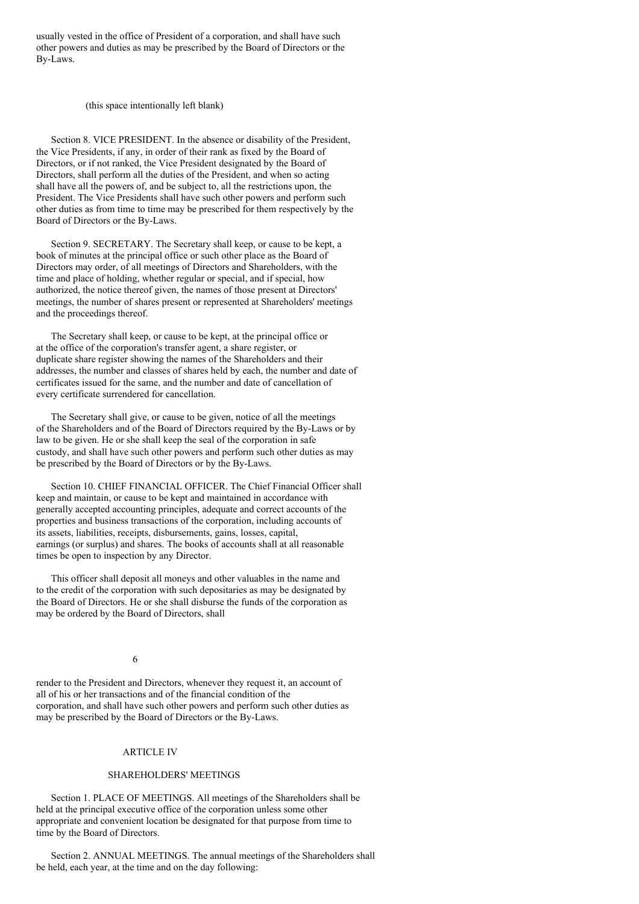usually vested in the office of President of a corporation, and shall have such other powers and duties as may be prescribed by the Board of Directors or the By-Laws.

#### (this space intentionally left blank)

Section 8. VICE PRESIDENT. In the absence or disability of the President, the Vice Presidents, if any, in order of their rank as fixed by the Board of Directors, or if not ranked, the Vice President designated by the Board of Directors, shall perform all the duties of the President, and when so acting shall have all the powers of, and be subject to, all the restrictions upon, the President. The Vice Presidents shall have such other powers and perform such other duties as from time to time may be prescribed for them respectively by the Board of Directors or the By-Laws.

Section 9. SECRETARY. The Secretary shall keep, or cause to be kept, a book of minutes at the principal office or such other place as the Board of Directors may order, of all meetings of Directors and Shareholders, with the time and place of holding, whether regular or special, and if special, how authorized, the notice thereof given, the names of those present at Directors' meetings, the number of shares present or represented at Shareholders' meetings and the proceedings thereof.

The Secretary shall keep, or cause to be kept, at the principal office or at the office of the corporation's transfer agent, a share register, or duplicate share register showing the names of the Shareholders and their addresses, the number and classes of shares held by each, the number and date of certificates issued for the same, and the number and date of cancellation of every certificate surrendered for cancellation.

The Secretary shall give, or cause to be given, notice of all the meetings of the Shareholders and of the Board of Directors required by the By-Laws or by law to be given. He or she shall keep the seal of the corporation in safe custody, and shall have such other powers and perform such other duties as may be prescribed by the Board of Directors or by the By-Laws.

Section 10. CHIEF FINANCIAL OFFICER. The Chief Financial Officer shall keep and maintain, or cause to be kept and maintained in accordance with generally accepted accounting principles, adequate and correct accounts of the properties and business transactions of the corporation, including accounts of its assets, liabilities, receipts, disbursements, gains, losses, capital, earnings (or surplus) and shares. The books of accounts shall at all reasonable times be open to inspection by any Director.

This officer shall deposit all moneys and other valuables in the name and to the credit of the corporation with such depositaries as may be designated by the Board of Directors. He or she shall disburse the funds of the corporation as may be ordered by the Board of Directors, shall

6

render to the President and Directors, whenever they request it, an account of all of his or her transactions and of the financial condition of the corporation, and shall have such other powers and perform such other duties as may be prescribed by the Board of Directors or the By-Laws.

## ARTICLE IV

## SHAREHOLDERS' MEETINGS

Section 1. PLACE OF MEETINGS. All meetings of the Shareholders shall be held at the principal executive office of the corporation unless some other appropriate and convenient location be designated for that purpose from time to time by the Board of Directors.

Section 2. ANNUAL MEETINGS. The annual meetings of the Shareholders shall be held, each year, at the time and on the day following: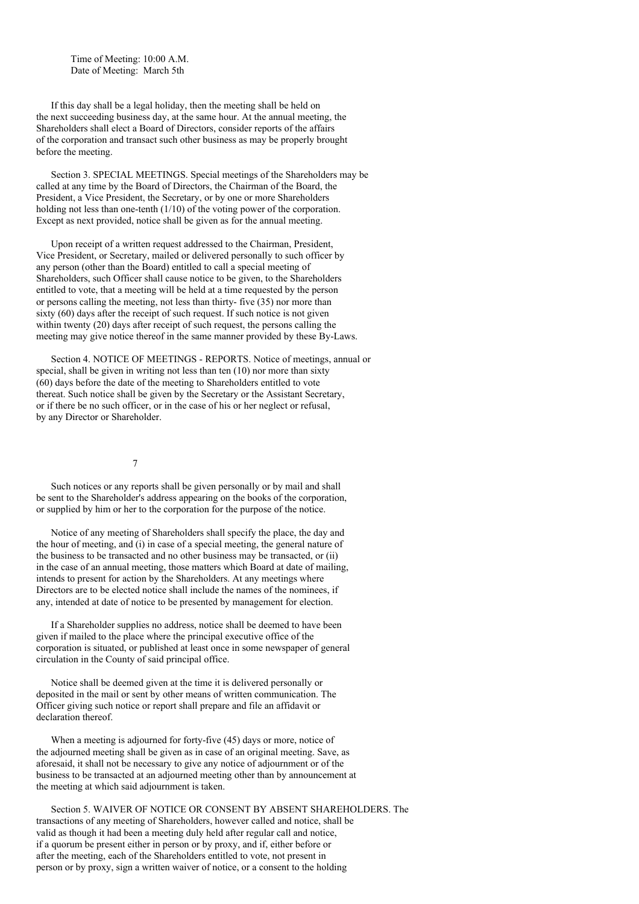Time of Meeting: 10:00 A.M. Date of Meeting: March 5th

If this day shall be a legal holiday, then the meeting shall be held on the next succeeding business day, at the same hour. At the annual meeting, the Shareholders shall elect a Board of Directors, consider reports of the affairs of the corporation and transact such other business as may be properly brought before the meeting.

Section 3. SPECIAL MEETINGS. Special meetings of the Shareholders may be called at any time by the Board of Directors, the Chairman of the Board, the President, a Vice President, the Secretary, or by one or more Shareholders holding not less than one-tenth (1/10) of the voting power of the corporation. Except as next provided, notice shall be given as for the annual meeting.

Upon receipt of a written request addressed to the Chairman, President, Vice President, or Secretary, mailed or delivered personally to such officer by any person (other than the Board) entitled to call a special meeting of Shareholders, such Officer shall cause notice to be given, to the Shareholders entitled to vote, that a meeting will be held at a time requested by the person or persons calling the meeting, not less than thirty- five (35) nor more than sixty (60) days after the receipt of such request. If such notice is not given within twenty (20) days after receipt of such request, the persons calling the meeting may give notice thereof in the same manner provided by these By-Laws.

Section 4. NOTICE OF MEETINGS - REPORTS. Notice of meetings, annual or special, shall be given in writing not less than ten (10) nor more than sixty (60) days before the date of the meeting to Shareholders entitled to vote thereat. Such notice shall be given by the Secretary or the Assistant Secretary, or if there be no such officer, or in the case of his or her neglect or refusal, by any Director or Shareholder.

## 7

Such notices or any reports shall be given personally or by mail and shall be sent to the Shareholder's address appearing on the books of the corporation, or supplied by him or her to the corporation for the purpose of the notice.

Notice of any meeting of Shareholders shall specify the place, the day and the hour of meeting, and (i) in case of a special meeting, the general nature of the business to be transacted and no other business may be transacted, or (ii) in the case of an annual meeting, those matters which Board at date of mailing, intends to present for action by the Shareholders. At any meetings where Directors are to be elected notice shall include the names of the nominees, if any, intended at date of notice to be presented by management for election.

If a Shareholder supplies no address, notice shall be deemed to have been given if mailed to the place where the principal executive office of the corporation is situated, or published at least once in some newspaper of general circulation in the County of said principal office.

Notice shall be deemed given at the time it is delivered personally or deposited in the mail or sent by other means of written communication. The Officer giving such notice or report shall prepare and file an affidavit or declaration thereof.

When a meeting is adjourned for forty-five (45) days or more, notice of the adjourned meeting shall be given as in case of an original meeting. Save, as aforesaid, it shall not be necessary to give any notice of adjournment or of the business to be transacted at an adjourned meeting other than by announcement at the meeting at which said adjournment is taken.

Section 5. WAIVER OF NOTICE OR CONSENT BY ABSENT SHAREHOLDERS. The transactions of any meeting of Shareholders, however called and notice, shall be valid as though it had been a meeting duly held after regular call and notice, if a quorum be present either in person or by proxy, and if, either before or after the meeting, each of the Shareholders entitled to vote, not present in person or by proxy, sign a written waiver of notice, or a consent to the holding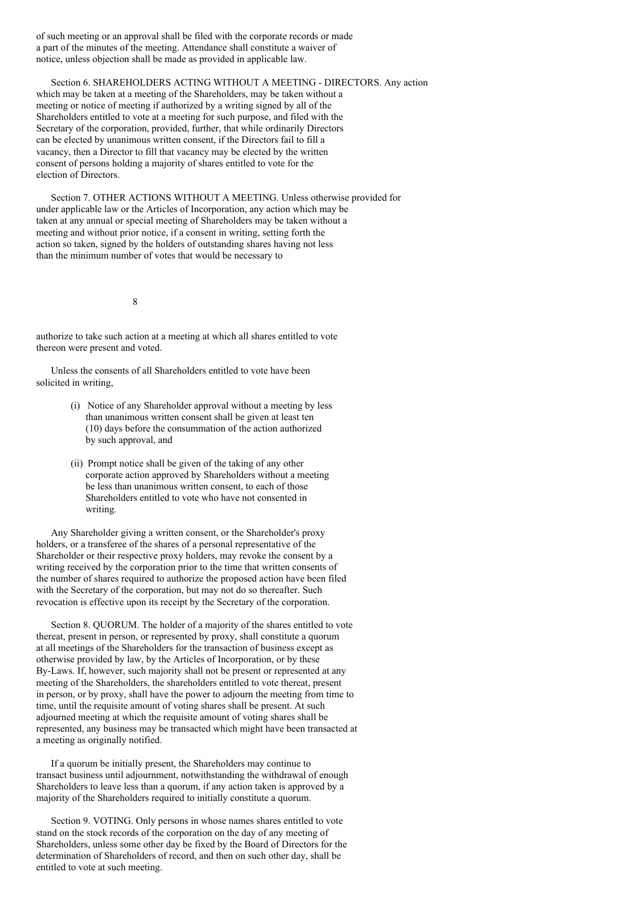of such meeting or an approval shall be filed with the corporate records or made a part of the minutes of the meeting. Attendance shall constitute a waiver of notice, unless objection shall be made as provided in applicable law.

Section 6. SHAREHOLDERS ACTING WITHOUT A MEETING - DIRECTORS. Any action which may be taken at a meeting of the Shareholders, may be taken without a meeting or notice of meeting if authorized by a writing signed by all of the Shareholders entitled to vote at a meeting for such purpose, and filed with the Secretary of the corporation, provided, further, that while ordinarily Directors can be elected by unanimous written consent, if the Directors fail to fill a vacancy, then a Director to fill that vacancy may be elected by the written consent of persons holding a majority of shares entitled to vote for the election of Directors.

Section 7. OTHER ACTIONS WITHOUT A MEETING. Unless otherwise provided for under applicable law or the Articles of Incorporation, any action which may be taken at any annual or special meeting of Shareholders may be taken without a meeting and without prior notice, if a consent in writing, setting forth the action so taken, signed by the holders of outstanding shares having not less than the minimum number of votes that would be necessary to

8

authorize to take such action at a meeting at which all shares entitled to vote thereon were present and voted.

Unless the consents of all Shareholders entitled to vote have been solicited in writing,

- (i) Notice of any Shareholder approval without a meeting by less than unanimous written consent shall be given at least ten (10) days before the consummation of the action authorized by such approval, and
- (ii) Prompt notice shall be given of the taking of any other corporate action approved by Shareholders without a meeting be less than unanimous written consent, to each of those Shareholders entitled to vote who have not consented in writing.

Any Shareholder giving a written consent, or the Shareholder's proxy holders, or a transferee of the shares of a personal representative of the Shareholder or their respective proxy holders, may revoke the consent by a writing received by the corporation prior to the time that written consents of the number of shares required to authorize the proposed action have been filed with the Secretary of the corporation, but may not do so thereafter. Such revocation is effective upon its receipt by the Secretary of the corporation.

Section 8. QUORUM. The holder of a majority of the shares entitled to vote thereat, present in person, or represented by proxy, shall constitute a quorum at all meetings of the Shareholders for the transaction of business except as otherwise provided by law, by the Articles of Incorporation, or by these By-Laws. If, however, such majority shall not be present or represented at any meeting of the Shareholders, the shareholders entitled to vote thereat, present in person, or by proxy, shall have the power to adjourn the meeting from time to time, until the requisite amount of voting shares shall be present. At such adjourned meeting at which the requisite amount of voting shares shall be represented, any business may be transacted which might have been transacted at a meeting as originally notified.

If a quorum be initially present, the Shareholders may continue to transact business until adjournment, notwithstanding the withdrawal of enough Shareholders to leave less than a quorum, if any action taken is approved by a majority of the Shareholders required to initially constitute a quorum.

Section 9. VOTING. Only persons in whose names shares entitled to vote stand on the stock records of the corporation on the day of any meeting of Shareholders, unless some other day be fixed by the Board of Directors for the determination of Shareholders of record, and then on such other day, shall be entitled to vote at such meeting.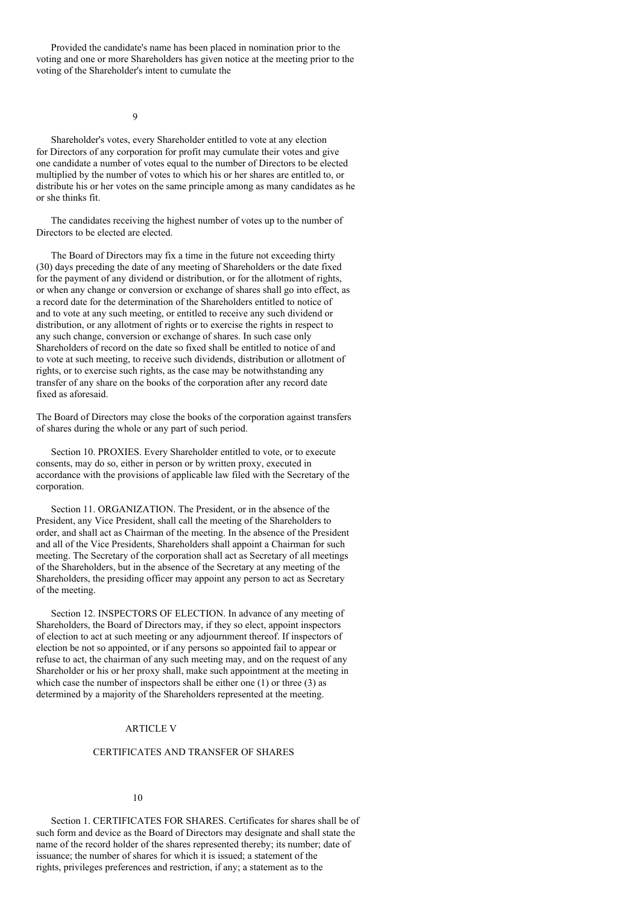Provided the candidate's name has been placed in nomination prior to the voting and one or more Shareholders has given notice at the meeting prior to the voting of the Shareholder's intent to cumulate the

 $\overline{Q}$ 

Shareholder's votes, every Shareholder entitled to vote at any election for Directors of any corporation for profit may cumulate their votes and give one candidate a number of votes equal to the number of Directors to be elected multiplied by the number of votes to which his or her shares are entitled to, or distribute his or her votes on the same principle among as many candidates as he or she thinks fit.

The candidates receiving the highest number of votes up to the number of Directors to be elected are elected.

The Board of Directors may fix a time in the future not exceeding thirty (30) days preceding the date of any meeting of Shareholders or the date fixed for the payment of any dividend or distribution, or for the allotment of rights, or when any change or conversion or exchange of shares shall go into effect, as a record date for the determination of the Shareholders entitled to notice of and to vote at any such meeting, or entitled to receive any such dividend or distribution, or any allotment of rights or to exercise the rights in respect to any such change, conversion or exchange of shares. In such case only Shareholders of record on the date so fixed shall be entitled to notice of and to vote at such meeting, to receive such dividends, distribution or allotment of rights, or to exercise such rights, as the case may be notwithstanding any transfer of any share on the books of the corporation after any record date fixed as aforesaid.

The Board of Directors may close the books of the corporation against transfers of shares during the whole or any part of such period.

Section 10. PROXIES. Every Shareholder entitled to vote, or to execute consents, may do so, either in person or by written proxy, executed in accordance with the provisions of applicable law filed with the Secretary of the corporation.

Section 11. ORGANIZATION. The President, or in the absence of the President, any Vice President, shall call the meeting of the Shareholders to order, and shall act as Chairman of the meeting. In the absence of the President and all of the Vice Presidents, Shareholders shall appoint a Chairman for such meeting. The Secretary of the corporation shall act as Secretary of all meetings of the Shareholders, but in the absence of the Secretary at any meeting of the Shareholders, the presiding officer may appoint any person to act as Secretary of the meeting.

Section 12. INSPECTORS OF ELECTION. In advance of any meeting of Shareholders, the Board of Directors may, if they so elect, appoint inspectors of election to act at such meeting or any adjournment thereof. If inspectors of election be not so appointed, or if any persons so appointed fail to appear or refuse to act, the chairman of any such meeting may, and on the request of any Shareholder or his or her proxy shall, make such appointment at the meeting in which case the number of inspectors shall be either one (1) or three (3) as determined by a majority of the Shareholders represented at the meeting.

### ARTICLE V

#### CERTIFICATES AND TRANSFER OF SHARES

## $1<sub>0</sub>$

Section 1. CERTIFICATES FOR SHARES. Certificates for shares shall be of such form and device as the Board of Directors may designate and shall state the name of the record holder of the shares represented thereby; its number; date of issuance; the number of shares for which it is issued; a statement of the rights, privileges preferences and restriction, if any; a statement as to the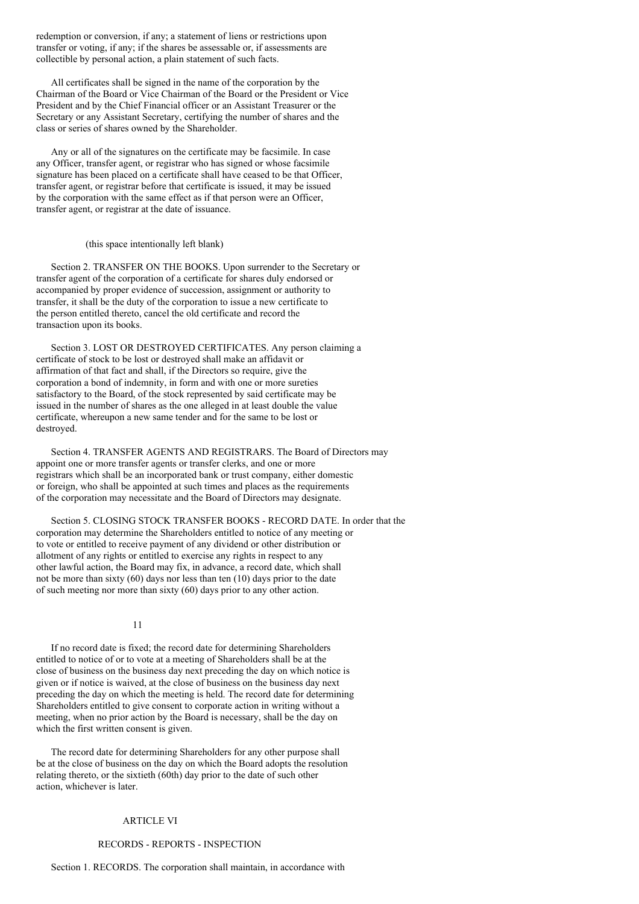redemption or conversion, if any; a statement of liens or restrictions upon transfer or voting, if any; if the shares be assessable or, if assessments are collectible by personal action, a plain statement of such facts.

All certificates shall be signed in the name of the corporation by the Chairman of the Board or Vice Chairman of the Board or the President or Vice President and by the Chief Financial officer or an Assistant Treasurer or the Secretary or any Assistant Secretary, certifying the number of shares and the class or series of shares owned by the Shareholder.

Any or all of the signatures on the certificate may be facsimile. In case any Officer, transfer agent, or registrar who has signed or whose facsimile signature has been placed on a certificate shall have ceased to be that Officer, transfer agent, or registrar before that certificate is issued, it may be issued by the corporation with the same effect as if that person were an Officer, transfer agent, or registrar at the date of issuance.

#### (this space intentionally left blank)

Section 2. TRANSFER ON THE BOOKS. Upon surrender to the Secretary or transfer agent of the corporation of a certificate for shares duly endorsed or accompanied by proper evidence of succession, assignment or authority to transfer, it shall be the duty of the corporation to issue a new certificate to the person entitled thereto, cancel the old certificate and record the transaction upon its books.

Section 3. LOST OR DESTROYED CERTIFICATES. Any person claiming a certificate of stock to be lost or destroyed shall make an affidavit or affirmation of that fact and shall, if the Directors so require, give the corporation a bond of indemnity, in form and with one or more sureties satisfactory to the Board, of the stock represented by said certificate may be issued in the number of shares as the one alleged in at least double the value certificate, whereupon a new same tender and for the same to be lost or destroyed.

Section 4. TRANSFER AGENTS AND REGISTRARS. The Board of Directors may appoint one or more transfer agents or transfer clerks, and one or more registrars which shall be an incorporated bank or trust company, either domestic or foreign, who shall be appointed at such times and places as the requirements of the corporation may necessitate and the Board of Directors may designate.

Section 5. CLOSING STOCK TRANSFER BOOKS - RECORD DATE. In order that the corporation may determine the Shareholders entitled to notice of any meeting or to vote or entitled to receive payment of any dividend or other distribution or allotment of any rights or entitled to exercise any rights in respect to any other lawful action, the Board may fix, in advance, a record date, which shall not be more than sixty (60) days nor less than ten (10) days prior to the date of such meeting nor more than sixty (60) days prior to any other action.

## 11

If no record date is fixed; the record date for determining Shareholders entitled to notice of or to vote at a meeting of Shareholders shall be at the close of business on the business day next preceding the day on which notice is given or if notice is waived, at the close of business on the business day next preceding the day on which the meeting is held. The record date for determining Shareholders entitled to give consent to corporate action in writing without a meeting, when no prior action by the Board is necessary, shall be the day on which the first written consent is given.

The record date for determining Shareholders for any other purpose shall be at the close of business on the day on which the Board adopts the resolution relating thereto, or the sixtieth (60th) day prior to the date of such other action, whichever is later.

#### **ARTICLE VI**

#### RECORDS - REPORTS - INSPECTION

## Section 1. RECORDS. The corporation shall maintain, in accordance with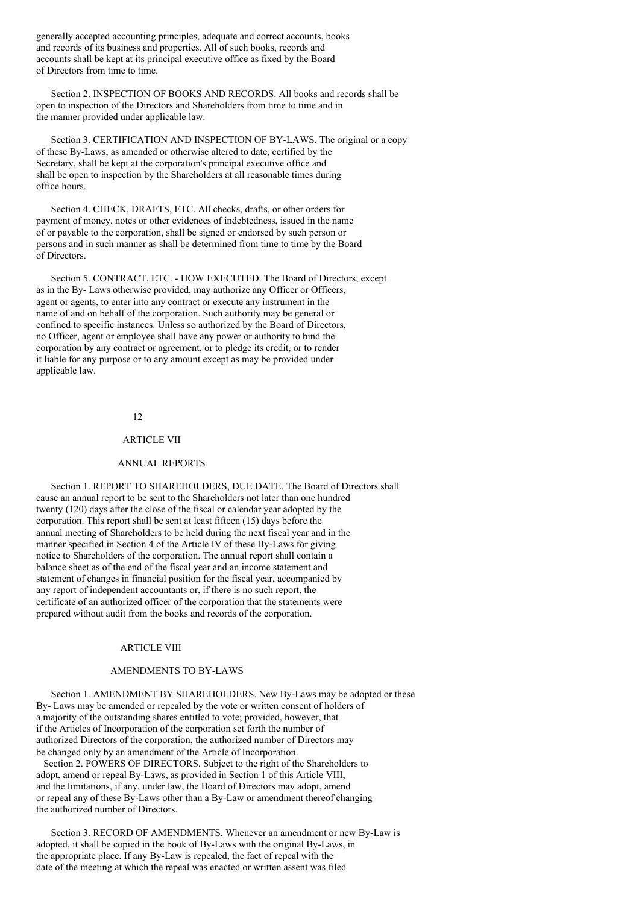generally accepted accounting principles, adequate and correct accounts, books and records of its business and properties. All of such books, records and accounts shall be kept at its principal executive office as fixed by the Board of Directors from time to time.

Section 2. INSPECTION OF BOOKS AND RECORDS. All books and records shall be open to inspection of the Directors and Shareholders from time to time and in the manner provided under applicable law.

Section 3. CERTIFICATION AND INSPECTION OF BY-LAWS. The original or a copy of these By-Laws, as amended or otherwise altered to date, certified by the Secretary, shall be kept at the corporation's principal executive office and shall be open to inspection by the Shareholders at all reasonable times during office hours.

Section 4. CHECK, DRAFTS, ETC. All checks, drafts, or other orders for payment of money, notes or other evidences of indebtedness, issued in the name of or payable to the corporation, shall be signed or endorsed by such person or persons and in such manner as shall be determined from time to time by the Board of Directors.

Section 5. CONTRACT, ETC. - HOW EXECUTED. The Board of Directors, except as in the By- Laws otherwise provided, may authorize any Officer or Officers, agent or agents, to enter into any contract or execute any instrument in the name of and on behalf of the corporation. Such authority may be general or confined to specific instances. Unless so authorized by the Board of Directors, no Officer, agent or employee shall have any power or authority to bind the corporation by any contract or agreement, or to pledge its credit, or to render it liable for any purpose or to any amount except as may be provided under applicable law.

## 12

## ARTICLE VII

#### ANNUAL REPORTS

Section 1. REPORT TO SHAREHOLDERS, DUE DATE. The Board of Directors shall cause an annual report to be sent to the Shareholders not later than one hundred twenty (120) days after the close of the fiscal or calendar year adopted by the corporation. This report shall be sent at least fifteen (15) days before the annual meeting of Shareholders to be held during the next fiscal year and in the manner specified in Section 4 of the Article IV of these By-Laws for giving notice to Shareholders of the corporation. The annual report shall contain a balance sheet as of the end of the fiscal year and an income statement and statement of changes in financial position for the fiscal year, accompanied by any report of independent accountants or, if there is no such report, the certificate of an authorized officer of the corporation that the statements were prepared without audit from the books and records of the corporation.

## ARTICLE VIII

#### AMENDMENTS TO BY-LAWS

Section 1. AMENDMENT BY SHAREHOLDERS. New By-Laws may be adopted or these By- Laws may be amended or repealed by the vote or written consent of holders of a majority of the outstanding shares entitled to vote; provided, however, that if the Articles of Incorporation of the corporation set forth the number of authorized Directors of the corporation, the authorized number of Directors may be changed only by an amendment of the Article of Incorporation.

Section 2. POWERS OF DIRECTORS. Subject to the right of the Shareholders to adopt, amend or repeal By-Laws, as provided in Section 1 of this Article VIII, and the limitations, if any, under law, the Board of Directors may adopt, amend or repeal any of these By-Laws other than a By-Law or amendment thereof changing the authorized number of Directors.

Section 3. RECORD OF AMENDMENTS. Whenever an amendment or new By-Law is adopted, it shall be copied in the book of By-Laws with the original By-Laws, in the appropriate place. If any By-Law is repealed, the fact of repeal with the date of the meeting at which the repeal was enacted or written assent was filed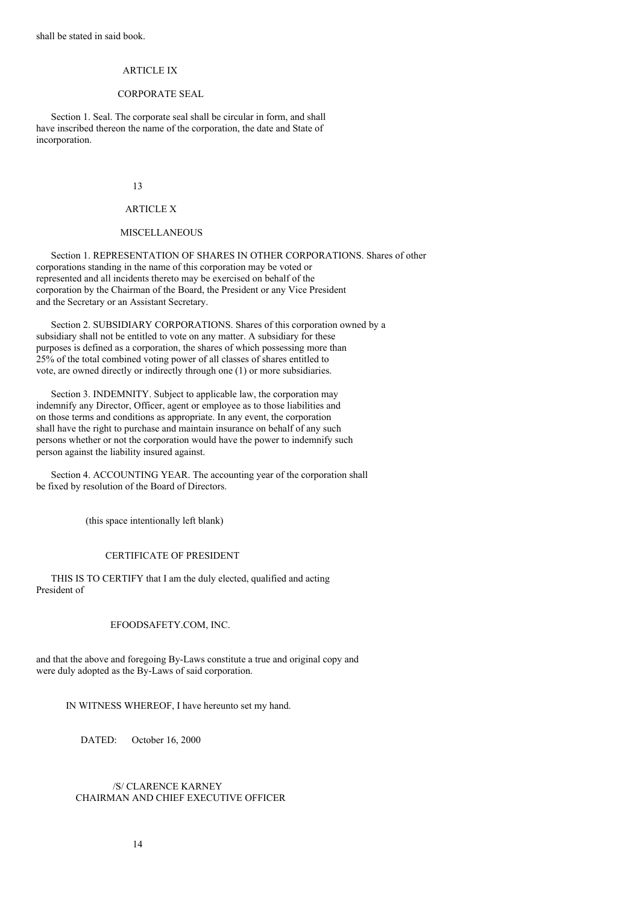shall be stated in said book.

## ARTICLE IX

## CORPORATE SEAL

Section 1. Seal. The corporate seal shall be circular in form, and shall have inscribed thereon the name of the corporation, the date and State of incorporation.

13

# ARTICLE X

## **MISCELLANEOUS**

Section 1. REPRESENTATION OF SHARES IN OTHER CORPORATIONS. Shares of other corporations standing in the name of this corporation may be voted or represented and all incidents thereto may be exercised on behalf of the corporation by the Chairman of the Board, the President or any Vice President and the Secretary or an Assistant Secretary.

Section 2. SUBSIDIARY CORPORATIONS. Shares of this corporation owned by a subsidiary shall not be entitled to vote on any matter. A subsidiary for these purposes is defined as a corporation, the shares of which possessing more than 25% of the total combined voting power of all classes of shares entitled to vote, are owned directly or indirectly through one (1) or more subsidiaries.

Section 3. INDEMNITY. Subject to applicable law, the corporation may indemnify any Director, Officer, agent or employee as to those liabilities and on those terms and conditions as appropriate. In any event, the corporation shall have the right to purchase and maintain insurance on behalf of any such persons whether or not the corporation would have the power to indemnify such person against the liability insured against.

Section 4. ACCOUNTING YEAR. The accounting year of the corporation shall be fixed by resolution of the Board of Directors.

(this space intentionally left blank)

## CERTIFICATE OF PRESIDENT

THIS IS TO CERTIFY that I am the duly elected, qualified and acting President of

#### EFOODSAFETY.COM, INC.

and that the above and foregoing By-Laws constitute a true and original copy and were duly adopted as the By-Laws of said corporation.

IN WITNESS WHEREOF, I have hereunto set my hand.

DATED: October 16, 2000

## /S/ CLARENCE KARNEY CHAIRMAN AND CHIEF EXECUTIVE OFFICER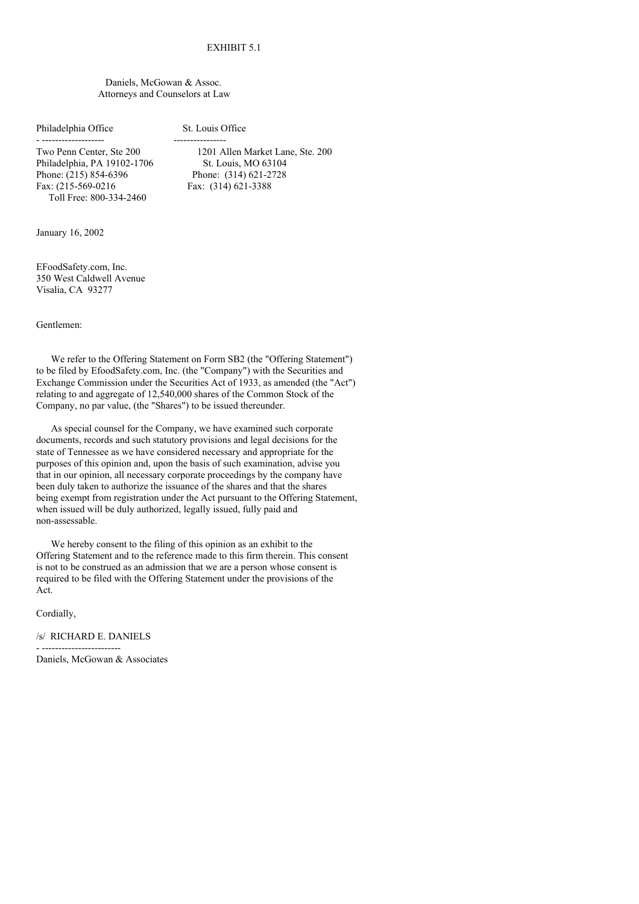#### EXHIBIT 5.1

Daniels, McGowan & Assoc. Attorneys and Counselors at Law

Philadelphia Office St. Louis Office

Philadelphia, PA 19102-1706 St. Louis, MO 63104 Phone: (215) 854-6396 Phone: (314) 621-2728<br>Fax: (215-569-0216 Fax: (314) 621-3388 Toll Free: 800-334-2460

- ------------------- ----------------

Two Penn Center, Ste 200 1201 Allen Market Lane, Ste. 200 Fax: (314) 621-3388

January 16, 2002

EFoodSafety.com, Inc. 350 West Caldwell Avenue Visalia, CA 93277

Gentlemen:

We refer to the Offering Statement on Form SB2 (the "Offering Statement") to be filed by EfoodSafety.com, Inc. (the "Company") with the Securities and Exchange Commission under the Securities Act of 1933, as amended (the "Act") relating to and aggregate of 12,540,000 shares of the Common Stock of the Company, no par value, (the "Shares") to be issued thereunder.

As special counsel for the Company, we have examined such corporate documents, records and such statutory provisions and legal decisions for the state of Tennessee as we have considered necessary and appropriate for the purposes of this opinion and, upon the basis of such examination, advise you that in our opinion, all necessary corporate proceedings by the company have been duly taken to authorize the issuance of the shares and that the shares being exempt from registration under the Act pursuant to the Offering Statement, when issued will be duly authorized, legally issued, fully paid and non-assessable.

We hereby consent to the filing of this opinion as an exhibit to the Offering Statement and to the reference made to this firm therein. This consent is not to be construed as an admission that we are a person whose consent is required to be filed with the Offering Statement under the provisions of the Act.

Cordially,

/s/ RICHARD E. DANIELS - ------------------------

Daniels, McGowan & Associates